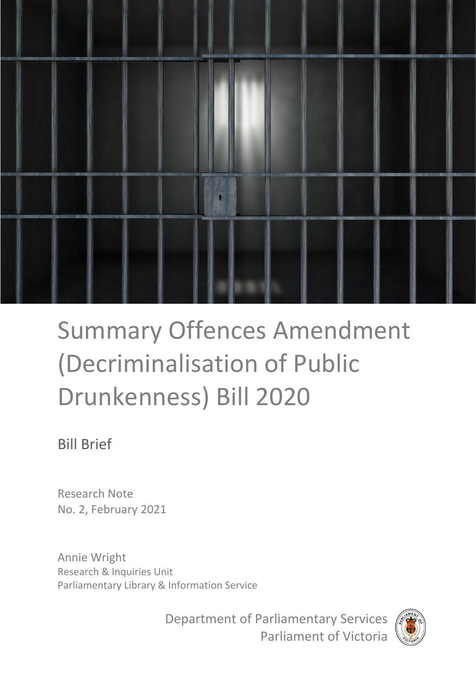

# Summary Offences Amendment (Decriminalisation of Public Drunkenness) Bill 2020

# Bill Brief

Research Note No. 2, February 2021

Annie Wright Research & Inquiries Unit Parliamentary Library & Information Service

> Department of Parliamentary Services Parliament of Victoria

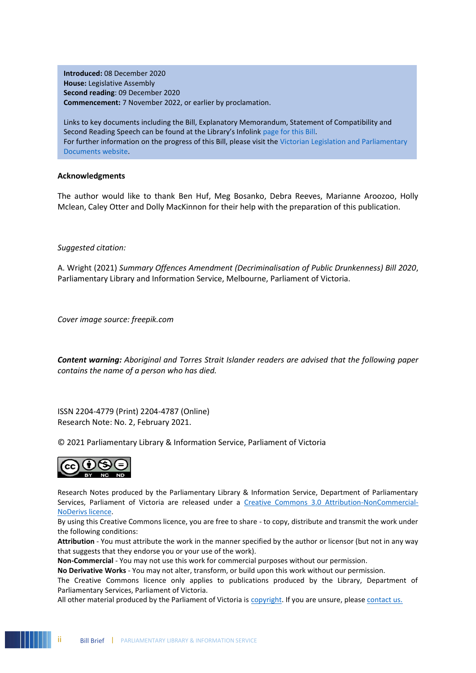**Introduced:** 08 December 2020 **House:** Legislative Assembly **Second reading**: 09 December 2020 **Commencement:** 7 November 2022, or earlier by proclamation.

Links to key documents including the Bill, Explanatory Memorandum, Statement of Compatibility and Second Reading Speech can be found at the Library's Infolink [page for this Bill.](https://parliamentofvictoria.sharepoint.com/sites/Library/SitePages/New%20Bills%20-%20InfoLinksPBI.aspx) For further information on the progress of this Bill, please visit the Victorian Legislation and Parliamentary [Documents website.](http://www.legislation.vic.gov.au/)

#### **Acknowledgments**

The author would like to thank Ben Huf, Meg Bosanko, Debra Reeves, Marianne Aroozoo, Holly Mclean, Caley Otter and Dolly MacKinnon for their help with the preparation of this publication.

#### *Suggested citation:*

A. Wright (2021) *Summary Offences Amendment (Decriminalisation of Public Drunkenness) Bill 2020*, Parliamentary Library and Information Service, Melbourne, Parliament of Victoria.

*Cover image source: freepik.com*

*Content warning: Aboriginal and Torres Strait Islander readers are advised that the following paper contains the name of a person who has died.*

ISSN 2204-4779 (Print) 2204-4787 (Online) Research Note: No. 2, February 2021.

© 2021 Parliamentary Library & Information Service, Parliament of Victoria



Research Notes produced by the Parliamentary Library & Information Service, Department of Parliamentary Services, Parliament of Victoria are released under a [Creative Commons 3.0 Attribution-NonCommercial-](http://creativecommons.org/licenses/by-nc-nd/3.0/au/)[NoDerivs licence.](http://creativecommons.org/licenses/by-nc-nd/3.0/au/) 

By using this Creative Commons licence, you are free to share - to copy, distribute and transmit the work under the following conditions:

**Attribution** - You must attribute the work in the manner specified by the author or licensor (but not in any way that suggests that they endorse you or your use of the work).

**Non-Commercial** - You may not use this work for commercial purposes without our permission.

**No Derivative Works** - You may not alter, transform, or build upon this work without our permission.

The Creative Commons licence only applies to publications produced by the Library, Department of Parliamentary Services, Parliament of Victoria.

All other material produced by the Parliament of Victoria is [copyright.](http://www.parliament.vic.gov.au/copyright) If you are unsure, please [contact us.](http://www.parliament.vic.gov.au/contacts)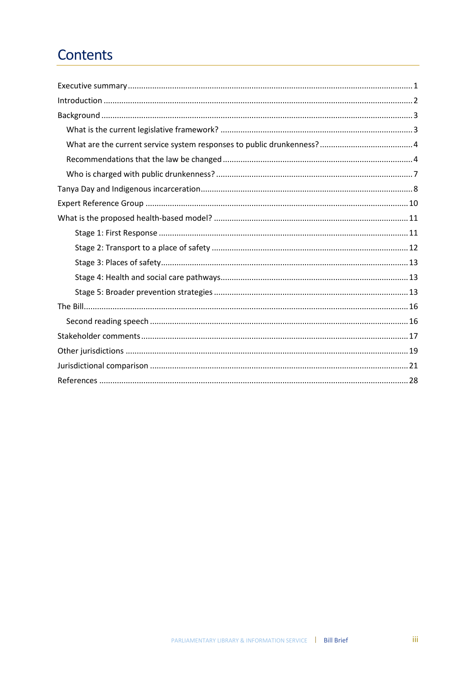# Contents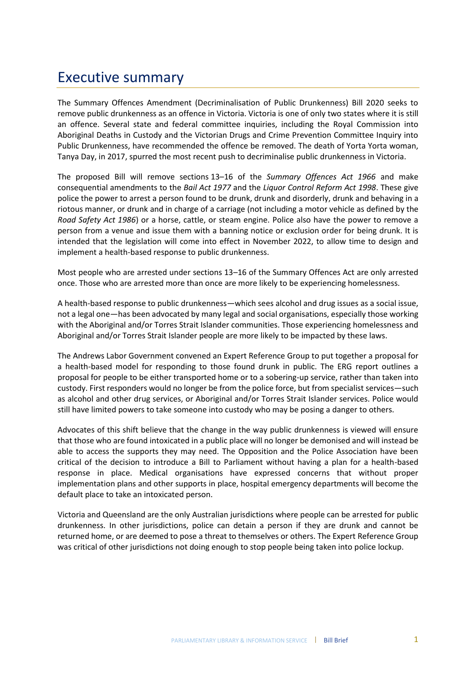# Executive summary

The Summary Offences Amendment (Decriminalisation of Public Drunkenness) Bill 2020 seeks to remove public drunkenness as an offence in Victoria. Victoria is one of only two states where it is still an offence. Several state and federal committee inquiries, including the Royal Commission into Aboriginal Deaths in Custody and the Victorian Drugs and Crime Prevention Committee Inquiry into Public Drunkenness, have recommended the offence be removed. The death of Yorta Yorta woman, Tanya Day, in 2017, spurred the most recent push to decriminalise public drunkenness in Victoria.

The proposed Bill will remove sections 13–16 of the *Summary Offences Act 1966* and make consequential amendments to the *Bail Act 1977* and the *Liquor Control Reform Act 1998*. These give police the power to arrest a person found to be drunk, drunk and disorderly, drunk and behaving in a riotous manner, or drunk and in charge of a carriage (not including a motor vehicle as defined by the *Road Safety Act 1986*) or a horse, cattle, or steam engine. Police also have the power to remove a person from a venue and issue them with a banning notice or exclusion order for being drunk. It is intended that the legislation will come into effect in November 2022, to allow time to design and implement a health-based response to public drunkenness.

Most people who are arrested under sections 13–16 of the Summary Offences Act are only arrested once. Those who are arrested more than once are more likely to be experiencing homelessness.

A health-based response to public drunkenness—which sees alcohol and drug issues as a social issue, not a legal one—has been advocated by many legal and social organisations, especially those working with the Aboriginal and/or Torres Strait Islander communities. Those experiencing homelessness and Aboriginal and/or Torres Strait Islander people are more likely to be impacted by these laws.

The Andrews Labor Government convened an Expert Reference Group to put together a proposal for a health-based model for responding to those found drunk in public. The ERG report outlines a proposal for people to be either transported home or to a sobering-up service, rather than taken into custody. First responders would no longer be from the police force, but from specialist services—such as alcohol and other drug services, or Aboriginal and/or Torres Strait Islander services. Police would still have limited powers to take someone into custody who may be posing a danger to others.

Advocates of this shift believe that the change in the way public drunkenness is viewed will ensure that those who are found intoxicated in a public place will no longer be demonised and will instead be able to access the supports they may need. The Opposition and the Police Association have been critical of the decision to introduce a Bill to Parliament without having a plan for a health-based response in place. Medical organisations have expressed concerns that without proper implementation plans and other supports in place, hospital emergency departments will become the default place to take an intoxicated person.

Victoria and Queensland are the only Australian jurisdictions where people can be arrested for public drunkenness. In other jurisdictions, police can detain a person if they are drunk and cannot be returned home, or are deemed to pose a threat to themselves or others. The Expert Reference Group was critical of other jurisdictions not doing enough to stop people being taken into police lockup.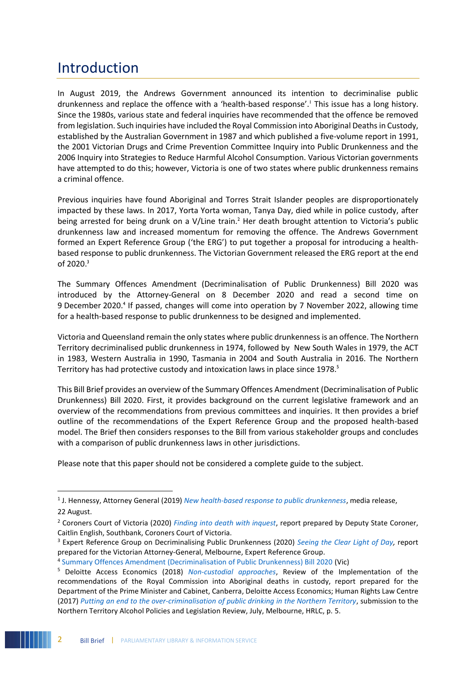# Introduction

1

In August 2019, the Andrews Government announced its intention to decriminalise public drunkenness and replace the offence with a 'health-based response'.<sup>1</sup> This issue has a long history. Since the 1980s, various state and federal inquiries have recommended that the offence be removed from legislation. Such inquiries have included the Royal Commission into Aboriginal Deaths in Custody, established by the Australian Government in 1987 and which published a five-volume report in 1991, the 2001 Victorian Drugs and Crime Prevention Committee Inquiry into Public Drunkenness and the 2006 Inquiry into Strategies to Reduce Harmful Alcohol Consumption. Various Victorian governments have attempted to do this; however, Victoria is one of two states where public drunkenness remains a criminal offence.

Previous inquiries have found Aboriginal and Torres Strait Islander peoples are disproportionately impacted by these laws. In 2017, Yorta Yorta woman, Tanya Day, died while in police custody, after being arrested for being drunk on a V/Line train.<sup>2</sup> Her death brought attention to Victoria's public drunkenness law and increased momentum for removing the offence. The Andrews Government formed an Expert Reference Group ('the ERG') to put together a proposal for introducing a healthbased response to public drunkenness. The Victorian Government released the ERG report at the end of 2020.<sup>3</sup>

The Summary Offences Amendment (Decriminalisation of Public Drunkenness) Bill 2020 was introduced by the Attorney-General on 8 December 2020 and read a second time on 9 December 2020.<sup>4</sup> If passed, changes will come into operation by 7 November 2022, allowing time for a health-based response to public drunkenness to be designed and implemented.

Victoria and Queensland remain the only states where public drunkenness is an offence. The Northern Territory decriminalised public drunkenness in 1974, followed by New South Wales in 1979, the ACT in 1983, Western Australia in 1990, Tasmania in 2004 and South Australia in 2016. The Northern Territory has had protective custody and intoxication laws in place since 1978.<sup>5</sup>

This Bill Brief provides an overview of the Summary Offences Amendment (Decriminalisation of Public Drunkenness) Bill 2020. First, it provides background on the current legislative framework and an overview of the recommendations from previous committees and inquiries. It then provides a brief outline of the recommendations of the Expert Reference Group and the proposed health-based model. The Brief then considers responses to the Bill from various stakeholder groups and concludes with a comparison of public drunkenness laws in other jurisdictions.

Please note that this paper should not be considered a complete guide to the subject.

<sup>1</sup> J. Hennessy, Attorney General (2019) *[New health-based response to public drunkenness](https://www.premier.vic.gov.au/new-health-based-response-public-drunkenness)*, media release, 22 August.

<sup>2</sup> Coroners Court of Victoria (2020) *[Finding into death with inquest](https://www.coronerscourt.vic.gov.au/sites/default/files/2020-04/Finding%20-%20Tanya%20Day-%20COR%202017%206424%20-%20AMENDED%2017042020.pdf)*, report prepared by Deputy State Coroner, Caitlin English, Southbank, Coroners Court of Victoria.

<sup>3</sup> Expert Reference Group on Decriminalising Public Drunkenness (2020) *[Seeing the Clear Light of Day,](https://www.justice.vic.gov.au/public-drunkenness)* report prepared for the Victorian Attorney-General, Melbourne, Expert Reference Group.

<sup>4</sup> [Summary Offences Amendment \(Decriminalisation of Public Drunkenness\) Bill 2020](https://www.legislation.vic.gov.au/bills/summary-offences-amendment-decriminalisation-public-drunkenness-bill-2020) (Vic)

<sup>5</sup> Deloitte Access Economics (2018) *[Non-custodial approaches](https://www.niaa.gov.au/resource-centre/indigenous-affairs/review-implementation-royal-commission-aboriginal-deaths-custody)*, Review of the Implementation of the recommendations of the Royal Commission into Aboriginal deaths in custody, report prepared for the Department of the Prime Minister and Cabinet, Canberra, Deloitte Access Economics; Human Rights Law Centre (2017) *[Putting an end to the over-criminalisation of public drinking in the Northern Territory](https://static1.squarespace.com/static/580025f66b8f5b2dabbe4291/t/5977dc598419c27557b23a6c/1501027420465/HRLC+submission+-+Northern+Territory+Alcohol+Policies+and+Legislative+Review+.pdf)*, submission to the Northern Territory Alcohol Policies and Legislation Review, July, Melbourne, HRLC, p. 5.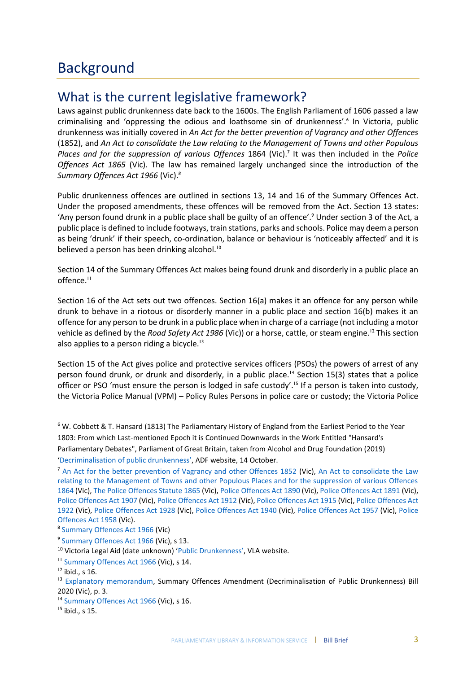# What is the current legislative framework?

Laws against public drunkenness date back to the 1600s. The English Parliament of 1606 passed a law criminalising and 'oppressing the odious and loathsome sin of drunkenness'.<sup>6</sup> In Victoria, public drunkenness was initially covered in *An Act for the better prevention of Vagrancy and other Offences*  (1852), and *An Act to consolidate the Law relating to the Management of Towns and other Populous*  Places and for the suppression of various Offences 1864 (Vic).<sup>7</sup> It was then included in the Police *Offences Act 1865* (Vic). The law has remained largely unchanged since the introduction of the *Summary Offences Act 1966* (Vic).*<sup>8</sup>*

Public drunkenness offences are outlined in sections 13, 14 and 16 of the Summary Offences Act. Under the proposed amendments, these offences will be removed from the Act. Section 13 states: 'Any person found drunk in a public place shall be guilty of an offence'.<sup>9</sup> Under section 3 of the Act, a public place is defined to include footways, train stations, parks and schools. Police may deem a person as being 'drunk' if their speech, co-ordination, balance or behaviour is 'noticeably affected' and it is believed a person has been drinking alcohol.<sup>10</sup>

Section 14 of the Summary Offences Act makes being found drunk and disorderly in a public place an offence.<sup>11</sup>

Section 16 of the Act sets out two offences. Section 16(a) makes it an offence for any person while drunk to behave in a riotous or disorderly manner in a public place and section 16(b) makes it an offence for any person to be drunk in a public place when in charge of a carriage (not including a motor vehicle as defined by the *Road Safety Act 1986* (Vic)) or a horse, cattle, or steam engine.<sup>12</sup> This section also applies to a person riding a bicycle.<sup>13</sup>

Section 15 of the Act gives police and protective services officers (PSOs) the powers of arrest of any person found drunk, or drunk and disorderly, in a public place.<sup>14</sup> Section 15(3) states that a police officer or PSO 'must ensure the person is lodged in safe custody'.<sup>15</sup> If a person is taken into custody, the Victoria Police Manual (VPM) – Policy Rules Persons in police care or custody; the Victoria Police

1

<sup>6</sup> W. Cobbett & T. Hansard (1813) The Parliamentary History of England from the Earliest Period to the Year 1803: From which Last-mentioned Epoch it is Continued Downwards in the Work Entitled "Hansard's Parliamentary Debates", Parliament of Great Britain, taken from Alcohol and Drug Foundation (2019) '[Decriminalisation of public drunkenness](https://adf.org.au/insights/decriminalisation-public-drunkenness/)', ADF website, 14 October.

<sup>&</sup>lt;sup>7</sup> [An Act for the better prevention of Vagrancy and other Offences 1852](http://www.austlii.edu.au/au/legis/vic/hist_act/tva1852127.pdf) (Vic), An Act to consolidate the Law [relating to the Management of Towns and other Populous Places and for the suppression of various Offences](http://www.austlii.edu.au/au/legis/vic/hist_act/tpos1864248.pdf)  [1864](http://www.austlii.edu.au/au/legis/vic/hist_act/tpos1864248.pdf) (Vic), [The Police Offences Statute 1865](http://classic.austlii.edu.au/au/legis/vic/hist_act/tpos1865248/) (Vic)[, Police Offences Act 1890](http://www.austlii.edu.au/au/legis/vic/hist_act/poa1890140.pdf) (Vic)[, Police Offences Act 1891](http://www.austlii.edu.au/cgi-bin/viewdb/au/legis/vic/hist_act/poa1891140/) (Vic), [Police Offences Act 1907](http://www.austlii.edu.au/cgi-bin/viewdb/au/legis/vic/hist_act/poa1907140/) (Vic)[, Police Offences Act 1912](http://classic.austlii.edu.au/au/legis/vic/hist_act/poa1912140/) (Vic)[, Police Offences Act 1915](http://www.austlii.edu.au/au/legis/vic/hist_act/poa1915140.pdf) (Vic)[, Police Offences Act](http://www.austlii.edu.au/cgi-bin/viewdb/au/legis/vic/hist_act/poa1922140/)  [1922](http://www.austlii.edu.au/cgi-bin/viewdb/au/legis/vic/hist_act/poa1922140/) (Vic), [Police Offences Act 1928](http://www.austlii.edu.au/au/legis/vic/hist_act/poa1928140.pdf) (Vic), [Police Offences Act 1940](http://www.austlii.edu.au/cgi-bin/viewdb/au/legis/vic/hist_act/poa1940140/) (Vic), Police [Offences Act 1957](http://www.austlii.edu.au/cgi-bin/viewdb/au/legis/vic/hist_act/poa1957140/) (Vic), [Police](http://www.austlii.edu.au/au/legis/vic/hist_act/poa1958140.pdf)  [Offences](http://www.austlii.edu.au/au/legis/vic/hist_act/poa1958140.pdf) Act 1958 (Vic).

<sup>8</sup> [Summary Offences Act 1966](https://www.legislation.vic.gov.au/in-force/acts/summary-offences-act-1966/132) (Vic)

<sup>9</sup> [Summary Offences Act 1966](https://www.legislation.vic.gov.au/in-force/acts/summary-offences-act-1966/133) (Vic), s 13.

<sup>10</sup> Victoria Legal Aid (date unknown) '[Public Drunkenness](https://www.legalaid.vic.gov.au/find-legal-answers/criminal-offences/public-drunkenness)', VLA website.

<sup>11</sup> [Summary Offences Act 1966](https://www.legislation.vic.gov.au/in-force/acts/summary-offences-act-1966/133) (Vic), s 14.

 $12$  ibid., s 16.

<sup>&</sup>lt;sup>13</sup> [Explanatory memorandum,](https://content.legislation.vic.gov.au/sites/default/files/bills/591173exi1.pdf) Summary Offences Amendment (Decriminalisation of Public Drunkenness) Bill 2020 (Vic), p. 3.

<sup>&</sup>lt;sup>14</sup> [Summary Offences Act 1966](https://www.legislation.vic.gov.au/in-force/acts/summary-offences-act-1966/133) (Vic), s 16.

 $15$  ibid., s 15.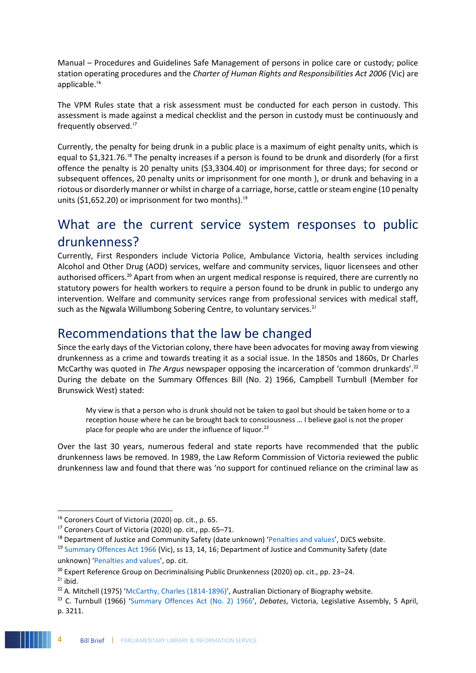Manual – Procedures and Guidelines Safe Management of persons in police care or custody; police station operating procedures and the *Charter of Human Rights and Responsibilities Act 2006* (Vic) are applicable.<sup>16</sup>

The VPM Rules state that a risk assessment must be conducted for each person in custody. This assessment is made against a medical checklist and the person in custody must be continuously and frequently observed.<sup>17</sup>

Currently, the penalty for being drunk in a public place is a maximum of eight penalty units, which is equal to \$1,321.76.<sup>18</sup> The penalty increases if a person is found to be drunk and disorderly (for a first offence the penalty is 20 penalty units (\$3,3304.40) or imprisonment for three days; for second or subsequent offences, 20 penalty units or imprisonment for one month ), or drunk and behaving in a riotous or disorderly manner or whilst in charge of a carriage, horse, cattle or steam engine (10 penalty units (\$1,652.20) or imprisonment for two months).<sup>19</sup>

# What are the current service system responses to public drunkenness?

Currently, First Responders include Victoria Police, Ambulance Victoria, health services including Alcohol and Other Drug (AOD) services, welfare and community services, liquor licensees and other authorised officers.<sup>20</sup> Apart from when an urgent medical response is required, there are currently no statutory powers for health workers to require a person found to be drunk in public to undergo any intervention. Welfare and community services range from professional services with medical staff, such as the Ngwala Willumbong Sobering Centre, to voluntary services.<sup>21</sup>

### Recommendations that the law be changed

Since the early days of the Victorian colony, there have been advocates for moving away from viewing drunkenness as a crime and towards treating it as a social issue. In the 1850s and 1860s, Dr Charles McCarthy was quoted in *The Argus* newspaper opposing the incarceration of 'common drunkards'.<sup>22</sup> During the debate on the Summary Offences Bill (No. 2) 1966, Campbell Turnbull (Member for Brunswick West) stated:

My view is that a person who is drunk should not be taken to gaol but should be taken home or to a reception house where he can be brought back to consciousness … I believe gaol is not the proper place for people who are under the influence of liquor.<sup>23</sup>

Over the last 30 years, numerous federal and state reports have recommended that the public drunkenness laws be removed. In 1989, the Law Reform Commission of Victoria reviewed the public drunkenness law and found that there was 'no support for continued reliance on the criminal law as

1

<sup>16</sup> Coroners Court of Victoria (2020) op. cit., p. 65.

<sup>17</sup> Coroners Court of Victoria (2020) op. cit., pp. 65–71.

<sup>&</sup>lt;sup>18</sup> Department of Justice and Community Safety (date unknown) '[Penalties and values](https://www.justice.vic.gov.au/justice-system/fines-and-penalties/penalties-and-values)', DJCS website.

<sup>&</sup>lt;sup>19</sup> [Summary Offences Act 1966](https://www.legislation.vic.gov.au/in-force/acts/summary-offences-act-1966/133) (Vic), ss 13, 14, 16; Department of Justice and Community Safety (date unknown) '[Penalties and values](https://www.justice.vic.gov.au/justice-system/fines-and-penalties/penalties-and-values)', op. cit.

<sup>&</sup>lt;sup>20</sup> Expert Reference Group on Decriminalising Public Drunkenness (2020) op. cit., pp. 23–24.

 $21$  ibid.

 $^{22}$  A. Mitchell (1975) '[McCarthy, Charles \(1814-1896\)](https://adb.anu.edu.au/biography/mccarthy-charles-4066)', Australian Dictionary of Biography website.

<sup>23</sup> C. Turnbull (1966) '[Summary Offences Act \(No. 2\) 1966](https://www.parliament.vic.gov.au/images/stories/historical_hansard/VicHansard_19660329_19660405.pdf)', *Debates*, Victoria, Legislative Assembly, 5 April, p. 3211.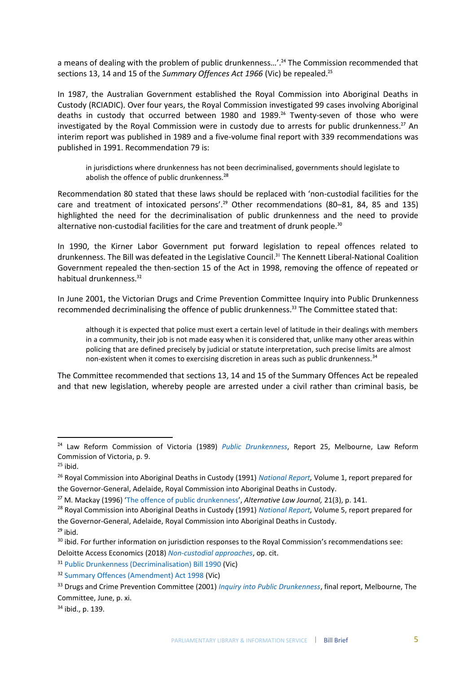a means of dealing with the problem of public drunkenness...'.<sup>24</sup> The Commission recommended that sections 13, 14 and 15 of the *Summary Offences Act 1966* (Vic) be repealed.<sup>25</sup>

In 1987, the Australian Government established the Royal Commission into Aboriginal Deaths in Custody (RCIADIC). Over four years, the Royal Commission investigated 99 cases involving Aboriginal deaths in custody that occurred between 1980 and 1989.<sup>26</sup> Twenty-seven of those who were investigated by the Royal Commission were in custody due to arrests for public drunkenness. <sup>27</sup> An interim report was published in 1989 and a five-volume final report with 339 recommendations was published in 1991. Recommendation 79 is:

in jurisdictions where drunkenness has not been decriminalised, governments should legislate to abolish the offence of public drunkenness.<sup>28</sup>

Recommendation 80 stated that these laws should be replaced with 'non-custodial facilities for the care and treatment of intoxicated persons'.<sup>29</sup> Other recommendations (80–81, 84, 85 and 135) highlighted the need for the decriminalisation of public drunkenness and the need to provide alternative non-custodial facilities for the care and treatment of drunk people.<sup>30</sup>

In 1990, the Kirner Labor Government put forward legislation to repeal offences related to drunkenness. The Bill was defeated in the Legislative Council.<sup>31</sup> The Kennett Liberal-National Coalition Government repealed the then-section 15 of the Act in 1998, removing the offence of repeated or habitual drunkenness.<sup>32</sup>

In June 2001, the Victorian Drugs and Crime Prevention Committee Inquiry into Public Drunkenness recommended decriminalising the offence of public drunkenness.<sup>33</sup> The Committee stated that:

although it is expected that police must exert a certain level of latitude in their dealings with members in a community, their job is not made easy when it is considered that, unlike many other areas within policing that are defined precisely by judicial or statute interpretation, such precise limits are almost non-existent when it comes to exercising discretion in areas such as public drunkenness.<sup>34</sup>

The Committee recommended that sections 13, 14 and 15 of the Summary Offences Act be repealed and that new legislation, whereby people are arrested under a civil rather than criminal basis, be

**.** 

<sup>34</sup> ibid., p. 139.

<sup>24</sup> Law Reform Commission of Victoria (1989) *[Public Drunkenness](http://library.parliament.vic.gov.au/mono/PublicDrunkennessReport1989.pdf)*, Report 25, Melbourne, Law Reform Commission of Victoria, p. 9.

 $25$  ibid.

<sup>26</sup> Royal Commission into Aboriginal Deaths in Custody (1991) *[National Report,](http://www.austlii.edu.au/au/other/IndigLRes/rciadic/national/vol1/index.html)* Volume 1, report prepared for the Governor-General, Adelaide, Royal Commission into Aboriginal Deaths in Custody.

<sup>27</sup> M. Mackay (1996) '[The offence of public drunkenness](http://www5.austlii.edu.au/au/journals/AltLawJl/1996/53.pdf)', *Alternative Law Journal,* 21(3), p. 141.

<sup>28</sup> Royal Commission into Aboriginal Deaths in Custody (1991) *[National Report,](http://www.austlii.edu.au/au/other/IndigLRes/rciadic/national/vol5/)* Volume 5, report prepared for the Governor-General, Adelaide, Royal Commission into Aboriginal Deaths in Custody.

 $29$  ibid.

<sup>&</sup>lt;sup>30</sup> ibid. For further information on jurisdiction responses to the Royal Commission's recommendations see: Deloitte Access Economics (2018) *[Non-custodial approaches](https://www.niaa.gov.au/resource-centre/indigenous-affairs/review-implementation-royal-commission-aboriginal-deaths-custody)*, op. cit.

<sup>31</sup> [Public Drunkenness \(Decriminalisation\) Bill 1990](http://classic.austlii.edu.au/au/legis/vic/bill/pdb1990379/) (Vic)

<sup>32</sup> [Summary Offences \(Amendment\) Act 1998](https://www.legislation.vic.gov.au/as-made/acts/summary-offences-amendment-act-1998) (Vic)

<sup>33</sup> Drugs and Crime Prevention Committee (2001) *[Inquiry into Public Drunkenness](http://library.parliament.vic.gov.au/govpub/VPARL1999-2002No86.pdf)*, final report, Melbourne, The Committee, June, p. xi.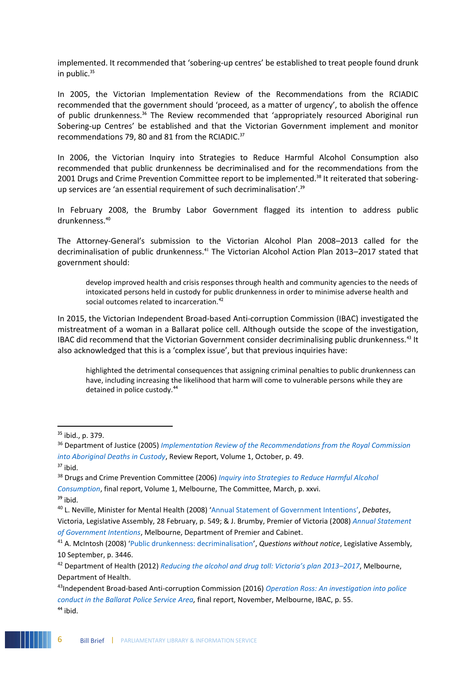implemented. It recommended that 'sobering-up centres' be established to treat people found drunk in public. $35$ 

In 2005, the Victorian Implementation Review of the Recommendations from the RCIADIC recommended that the government should 'proceed, as a matter of urgency', to abolish the offence of public drunkenness.<sup>36</sup> The Review recommended that 'appropriately resourced Aboriginal run Sobering-up Centres' be established and that the Victorian Government implement and monitor recommendations 79, 80 and 81 from the RCIADIC.<sup>37</sup>

In 2006, the Victorian Inquiry into Strategies to Reduce Harmful Alcohol Consumption also recommended that public drunkenness be decriminalised and for the recommendations from the 2001 Drugs and Crime Prevention Committee report to be implemented.<sup>38</sup> It reiterated that soberingup services are 'an essential requirement of such decriminalisation'.<sup>39</sup>

In February 2008, the Brumby Labor Government flagged its intention to address public drunkenness.<sup>40</sup>

The Attorney-General's submission to the Victorian Alcohol Plan 2008–2013 called for the decriminalisation of public drunkenness.<sup>41</sup> The Victorian Alcohol Action Plan 2013-2017 stated that government should:

develop improved health and crisis responses through health and community agencies to the needs of intoxicated persons held in custody for public drunkenness in order to minimise adverse health and social outcomes related to incarceration.<sup>42</sup>

In 2015, the Victorian Independent Broad-based Anti-corruption Commission (IBAC) investigated the mistreatment of a woman in a Ballarat police cell. Although outside the scope of the investigation, IBAC did recommend that the Victorian Government consider decriminalising public drunkenness.<sup>43</sup> It also acknowledged that this is a 'complex issue', but that previous inquiries have:

highlighted the detrimental consequences that assigning criminal penalties to public drunkenness can have, including increasing the likelihood that harm will come to vulnerable persons while they are detained in police custody.<sup>44</sup>

 $\overline{a}$ 

 $35$  ibid., p. 379.

<sup>36</sup> Department of Justice (2005) *[Implementation Review of the Recommendations from the Royal Commission](http://library.parliament.vic.gov.au/govpub/VPARL2003-06No165Vol1Sections1-5.pdf)  [into Aboriginal Deaths in Custody](http://library.parliament.vic.gov.au/govpub/VPARL2003-06No165Vol1Sections1-5.pdf)*, Review Report, Volume 1, October, p. 49.

 $37$  ibid.

<sup>38</sup> Drugs and Crime Prevention Committee (2006) *[Inquiry into Strategies to Reduce Harmful Alcohol](https://www.parliament.vic.gov.au/images/stories/committees/dcpc/assaults/2006_Mar_Final_report_Vol1_Strats_to_reduce_harmful_alcohol_consumption.pdf)  [Consumption](https://www.parliament.vic.gov.au/images/stories/committees/dcpc/assaults/2006_Mar_Final_report_Vol1_Strats_to_reduce_harmful_alcohol_consumption.pdf)*, final report, Volume 1, Melbourne, The Committee, March, p. xxvi.

<sup>39</sup> ibid.

<sup>40</sup> L. Neville, Minister for Mental Health (2008) '[Annual Statement of Government Intentions](http://hansard.parliament.vic.gov.au/?IW_INDEX=Hansard91-94-NoCommon&IW_FIELD_TEXT=SpeechIdKey%20CONTAINS%20(28February2008-63728-27957)%20AND%20OrderId%20CONTAINS%20(4240690)&LDMS=Y)', *Debates*,

Victoria, Legislative Assembly, 28 February, p. 549; & J. Brumby, Premier of Victoria (2008) *[Annual Statement](http://library.parliament.vic.gov.au/serial/AnnualStatementGovernmentIntentions2008.pdf)  [of Government Intentions](http://library.parliament.vic.gov.au/serial/AnnualStatementGovernmentIntentions2008.pdf)*, Melbourne, Department of Premier and Cabinet.

<sup>41</sup> A. McIntosh (2008) '[Public drunkenness: decriminalisation](https://hansard.parliament.vic.gov.au/?IW_INDEX=Hansard91-94-NoCommon&IW_FIELD_TEXT=SpeechIdKey%20CONTAINS%20(10September2008-70414-68763)%20AND%20OrderId%20CONTAINS%20(4433000)&LDMS=Y)', *Questions without notice*, Legislative Assembly, 10 September, p. 3446.

<sup>42</sup> Department of Health (2012) *[Reducing the alcohol and drug toll: Victoria's plan 2013–](https://www2.health.vic.gov.au/about/publications/researchandreports/Reducing-the-alcohol-and-drug-toll-Victorias-plan-2013-2017---Strategy)2017*, Melbourne, Department of Health.

<sup>43</sup>Independent Broad-based Anti-corruption Commission (2016) *[Operation Ross: An investigation into police](https://www.ibac.vic.gov.au/docs/default-source/special-reports/operation-ross-special-report-november-2016.pdf?sfvrsn=74566d75_3)  [conduct in the Ballarat Police Service Area,](https://www.ibac.vic.gov.au/docs/default-source/special-reports/operation-ross-special-report-november-2016.pdf?sfvrsn=74566d75_3)* final report, November, Melbourne, IBAC, p. 55.  $44$  ibid.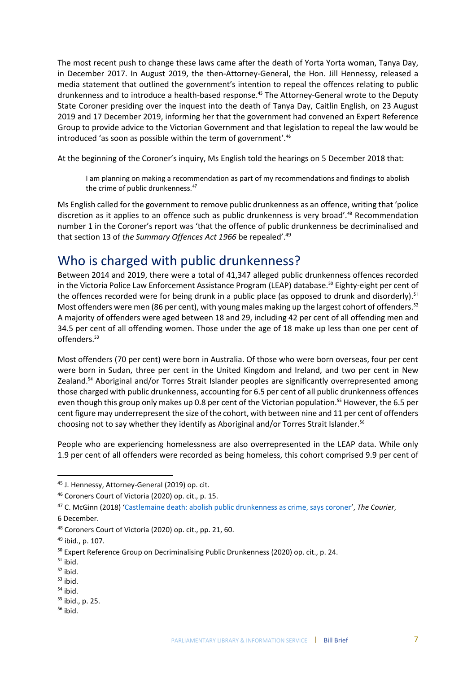The most recent push to change these laws came after the death of Yorta Yorta woman, Tanya Day, in December 2017. In August 2019, the then-Attorney-General, the Hon. Jill Hennessy, released a media statement that outlined the government's intention to repeal the offences relating to public drunkenness and to introduce a health-based response.<sup>45</sup> The Attorney-General wrote to the Deputy State Coroner presiding over the inquest into the death of Tanya Day, Caitlin English, on 23 August 2019 and 17 December 2019, informing her that the government had convened an Expert Reference Group to provide advice to the Victorian Government and that legislation to repeal the law would be introduced 'as soon as possible within the term of government'.<sup>46</sup>

At the beginning of the Coroner's inquiry, Ms English told the hearings on 5 December 2018 that:

I am planning on making a recommendation as part of my recommendations and findings to abolish the crime of public drunkenness.<sup>47</sup>

Ms English called for the government to remove public drunkenness as an offence, writing that 'police discretion as it applies to an offence such as public drunkenness is very broad'.<sup>48</sup> Recommendation number 1 in the Coroner's report was 'that the offence of public drunkenness be decriminalised and that section 13 of *the Summary Offences Act 1966* be repealed'. 49

# Who is charged with public drunkenness?

Between 2014 and 2019, there were a total of 41,347 alleged public drunkenness offences recorded in the Victoria Police Law Enforcement Assistance Program (LEAP) database.<sup>50</sup> Eighty-eight per cent of the offences recorded were for being drunk in a public place (as opposed to drunk and disorderly).<sup>51</sup> Most offenders were men (86 per cent), with young males making up the largest cohort of offenders.<sup>52</sup> A majority of offenders were aged between 18 and 29, including 42 per cent of all offending men and 34.5 per cent of all offending women. Those under the age of 18 make up less than one per cent of offenders.<sup>53</sup>

Most offenders (70 per cent) were born in Australia. Of those who were born overseas, four per cent were born in Sudan, three per cent in the United Kingdom and Ireland, and two per cent in New Zealand.<sup>54</sup> Aboriginal and/or Torres Strait Islander peoples are significantly overrepresented among those charged with public drunkenness, accounting for 6.5 per cent of all public drunkenness offences even though this group only makes up 0.8 per cent of the Victorian population.<sup>55</sup> However, the 6.5 per cent figure may underrepresent the size of the cohort, with between nine and 11 per cent of offenders choosing not to say whether they identify as Aboriginal and/or Torres Strait Islander.<sup>56</sup>

People who are experiencing homelessness are also overrepresented in the LEAP data. While only 1.9 per cent of all offenders were recorded as being homeless, this cohort comprised 9.9 per cent of

**.** 

 $54$  ibid.

<sup>45</sup> J. Hennessy, Attorney-General (2019) op. cit.

<sup>46</sup> Coroners Court of Victoria (2020) op. cit., p. 15.

<sup>47</sup> C. McGinn (2018) '[Castlemaine death: abolish public drunkenness as crime, says coroner](https://www.thecourier.com.au/story/5797780/public-drunkenness-should-not-be-a-crime-says-coroner-after-castlemaine-death/)', *The Courier*,

<sup>6</sup> December.

<sup>48</sup> Coroners Court of Victoria (2020) op. cit., pp. 21, 60.

<sup>49</sup> ibid., p. 107.

<sup>&</sup>lt;sup>50</sup> Expert Reference Group on Decriminalising Public Drunkenness (2020) op. cit., p. 24.

<sup>51</sup> ibid.

 $52$  ibid.

 $53$  ibid.

<sup>55</sup> ibid., p. 25.

 $56$  ibid.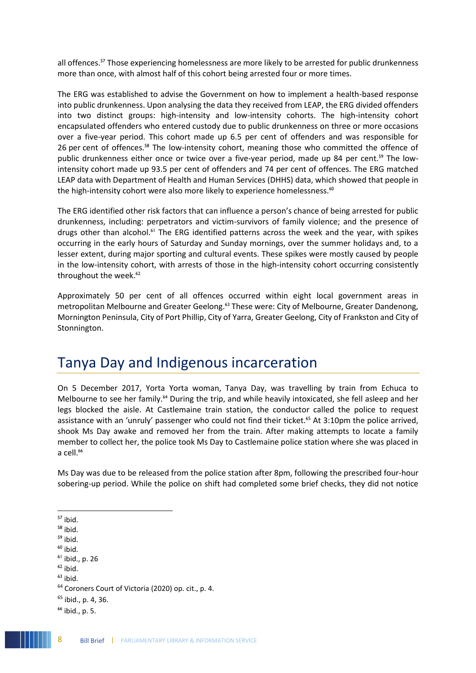all offences.<sup>57</sup> Those experiencing homelessness are more likely to be arrested for public drunkenness more than once, with almost half of this cohort being arrested four or more times.

The ERG was established to advise the Government on how to implement a health-based response into public drunkenness. Upon analysing the data they received from LEAP, the ERG divided offenders into two distinct groups: high-intensity and low-intensity cohorts. The high-intensity cohort encapsulated offenders who entered custody due to public drunkenness on three or more occasions over a five-year period. This cohort made up 6.5 per cent of offenders and was responsible for 26 per cent of offences.<sup>58</sup> The low-intensity cohort, meaning those who committed the offence of public drunkenness either once or twice over a five-year period, made up 84 per cent.<sup>59</sup> The lowintensity cohort made up 93.5 per cent of offenders and 74 per cent of offences. The ERG matched LEAP data with Department of Health and Human Services (DHHS) data, which showed that people in the high-intensity cohort were also more likely to experience homelessness.<sup>60</sup>

The ERG identified other risk factors that can influence a person's chance of being arrested for public drunkenness, including: perpetrators and victim-survivors of family violence; and the presence of drugs other than alcohol.<sup>61</sup> The ERG identified patterns across the week and the year, with spikes occurring in the early hours of Saturday and Sunday mornings, over the summer holidays and, to a lesser extent, during major sporting and cultural events. These spikes were mostly caused by people in the low-intensity cohort, with arrests of those in the high-intensity cohort occurring consistently throughout the week.<sup>62</sup>

Approximately 50 per cent of all offences occurred within eight local government areas in metropolitan Melbourne and Greater Geelong.<sup>63</sup> These were: City of Melbourne, Greater Dandenong, Mornington Peninsula, City of Port Phillip, City of Yarra, Greater Geelong, City of Frankston and City of Stonnington.

# Tanya Day and Indigenous incarceration

On 5 December 2017, Yorta Yorta woman, Tanya Day, was travelling by train from Echuca to Melbourne to see her family.<sup>64</sup> During the trip, and while heavily intoxicated, she fell asleep and her legs blocked the aisle. At Castlemaine train station, the conductor called the police to request assistance with an 'unruly' passenger who could not find their ticket.<sup>65</sup> At 3:10pm the police arrived, shook Ms Day awake and removed her from the train. After making attempts to locate a family member to collect her, the police took Ms Day to Castlemaine police station where she was placed in a cell.<sup>66</sup>

Ms Day was due to be released from the police station after 8pm, following the prescribed four-hour sobering-up period. While the police on shift had completed some brief checks, they did not notice

- $58$  ibid.
- $59$  ibid.
- $60$  ibid.
- $<sup>61</sup>$  ibid., p. 26</sup>
- $62$  ibid.
- $63$  ibid.

 $65$  ibid., p. 4, 36.

<sup>1</sup>  $57$  ibid.

<sup>64</sup> Coroners Court of Victoria (2020) op. cit., p. 4.

<sup>66</sup> ibid., p. 5.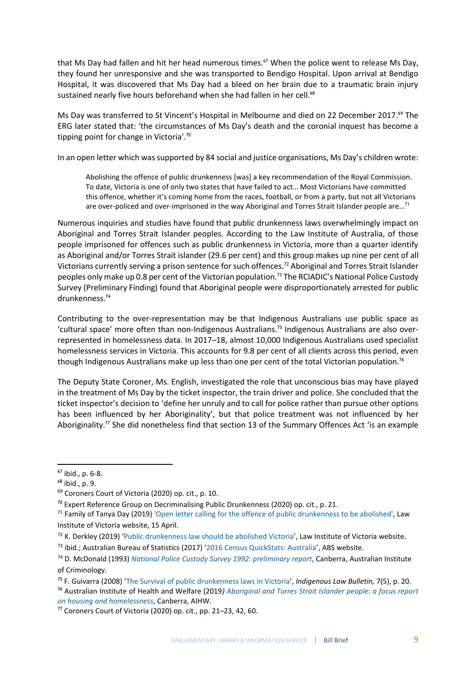that Ms Day had fallen and hit her head numerous times.<sup>67</sup> When the police went to release Ms Day, they found her unresponsive and she was transported to Bendigo Hospital. Upon arrival at Bendigo Hospital, it was discovered that Ms Day had a bleed on her brain due to a traumatic brain injury sustained nearly five hours beforehand when she had fallen in her cell.<sup>68</sup>

Ms Day was transferred to St Vincent's Hospital in Melbourne and died on 22 December 2017.<sup>69</sup> The ERG later stated that: 'the circumstances of Ms Day's death and the coronial inquest has become a tipping point for change in Victoria'.<sup>70</sup>

In an open letter which was supported by 84 social and justice organisations, Ms Day's children wrote:

Abolishing the offence of public drunkenness [was] a key recommendation of the Royal Commission. To date, Victoria is one of only two states that have failed to act… Most Victorians have committed this offence, whether it's coming home from the races, football, or from a party, but not all Victorians are over-policed and over-imprisoned in the way Aboriginal and Torres Strait Islander people are...<sup>71</sup>

Numerous inquiries and studies have found that public drunkenness laws overwhelmingly impact on Aboriginal and Torres Strait Islander peoples. According to the Law Institute of Australia, of those people imprisoned for offences such as public drunkenness in Victoria, more than a quarter identify as Aboriginal and/or Torres Strait islander (29.6 per cent) and this group makes up nine per cent of all Victorians currently serving a prison sentence for such offences.<sup>72</sup> Aboriginal and Torres Strait Islander peoples only make up 0.8 per cent of the Victorian population.<sup>73</sup> The RCIADIC's National Police Custody Survey (Preliminary Finding) found that Aboriginal people were disproportionately arrested for public drunkenness.<sup>74</sup>

Contributing to the over-representation may be that Indigenous Australians use public space as 'cultural space' more often than non-Indigenous Australians.<sup>75</sup> Indigenous Australians are also overrepresented in homelessness data. In 2017–18, almost 10,000 Indigenous Australians used specialist homelessness services in Victoria. This accounts for 9.8 per cent of all clients across this period, even though Indigenous Australians make up less than one per cent of the total Victorian population.<sup>76</sup>

The Deputy State Coroner, Ms. English, investigated the role that unconscious bias may have played in the treatment of Ms Day by the ticket inspector, the train driver and police. She concluded that the ticket inspector's decision to 'define her unruly and to call for police rather than pursue other options has been influenced by her Aboriginality', but that police treatment was not influenced by her Aboriginality.<sup>77</sup> She did nonetheless find that section 13 of the Summary Offences Act 'is an example

 $\overline{a}$ 

<sup>76</sup> Australian Institute of Health and Welfare (2019*[\) Aboriginal and Torres Strait Islander people: a focus report](https://www.aihw.gov.au/getmedia/1654e011-dccb-49d4-bf5b-09c4607eecc8/aihw-hou-301.pdf.aspx?inline=true)  [on housing and homelessness](https://www.aihw.gov.au/getmedia/1654e011-dccb-49d4-bf5b-09c4607eecc8/aihw-hou-301.pdf.aspx?inline=true)*, Canberra, AIHW.

 $67$  ibid., p. 6-8.

<sup>68</sup> ibid., p. 9.

<sup>69</sup> Coroners Court of Victoria (2020) op. cit., p. 10.

 $70$  Expert Reference Group on Decriminalising Public Drunkenness (2020) op. cit., p. 21.

 $71$  Family of Tanya Day (2019) ['Open letter calling for the offence of public drunkenness to be abolished',](https://www.liv.asn.au/getattachment/Staying-Informed/LIJ/LIJ/April-2019/Public-drunkenness-law-should-be-abolished/Open-Letter_Repeal-Public-Drunkenness.pdf.aspx) Law Institute of Victoria website, 15 April.

<sup>72</sup> K. Derkley (2019) '[Public drunkenness law should be abolished Victoria](https://www.liv.asn.au/Staying-Informed/LIJ/LIJ/April-2019/Public-drunkenness-law-should-be-abolished)', Law Institute of Victoria website.

<sup>73</sup> ibid.; Australian Bureau of Statistics (2017) '[2016 Census QuickStats: Australia](https://quickstats.censusdata.abs.gov.au/census_services/getproduct/census/2016/quickstat/036)', ABS website.

<sup>74</sup> D. McDonald (1993) *[National Police Custody Survey 1992: preliminary report](https://www.aic.gov.au/publications/dic/dic2)*, Canberra, Australian Institute of Criminology.

<sup>75</sup> F. Guivarra (2008) '[The Survival of public drunkenness laws in Victoria](http://www5.austlii.edu.au/au/journals/IndigLawB/2008/23.html)', *Indigenous Law Bulletin,* 7(5), p. 20.

<sup>77</sup> Coroners Court of Victoria (2020) op. cit., pp. 21–23, 42, 60.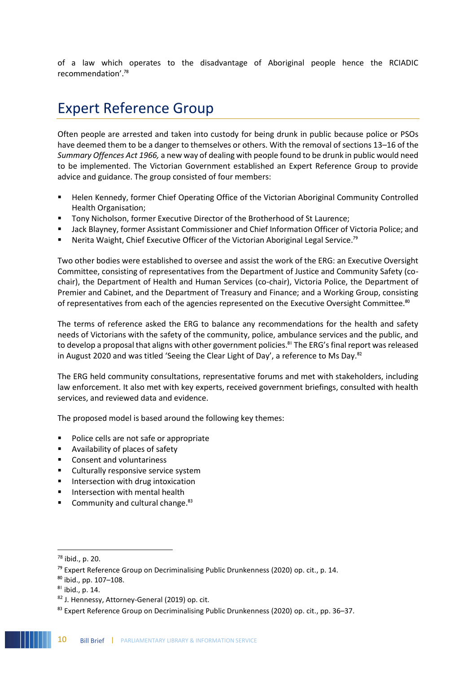of a law which operates to the disadvantage of Aboriginal people hence the RCIADIC recommendation'.<sup>78</sup>

# Expert Reference Group

Often people are arrested and taken into custody for being drunk in public because police or PSOs have deemed them to be a danger to themselves or others. With the removal of sections 13–16 of the *Summary Offences Act 1966,* a new way of dealing with people found to be drunk in public would need to be implemented. The Victorian Government established an Expert Reference Group to provide advice and guidance. The group consisted of four members:

- Helen Kennedy, former Chief Operating Office of the Victorian Aboriginal Community Controlled Health Organisation;
- **■** Tony Nicholson, former Executive Director of the Brotherhood of St Laurence;
- Jack Blayney, former Assistant Commissioner and Chief Information Officer of Victoria Police; and
- Nerita Waight, Chief Executive Officer of the Victorian Aboriginal Legal Service.<sup>79</sup>

Two other bodies were established to oversee and assist the work of the ERG: an Executive Oversight Committee, consisting of representatives from the Department of Justice and Community Safety (cochair), the Department of Health and Human Services (co-chair), Victoria Police, the Department of Premier and Cabinet, and the Department of Treasury and Finance; and a Working Group, consisting of representatives from each of the agencies represented on the Executive Oversight Committee.<sup>80</sup>

The terms of reference asked the ERG to balance any recommendations for the health and safety needs of Victorians with the safety of the community, police, ambulance services and the public, and to develop a proposal that aligns with other government policies.<sup>81</sup> The ERG's final report was released in August 2020 and was titled 'Seeing the Clear Light of Day', a reference to Ms Day. $82$ 

The ERG held community consultations, representative forums and met with stakeholders, including law enforcement. It also met with key experts, received government briefings, consulted with health services, and reviewed data and evidence.

The proposed model is based around the following key themes:

- Police cells are not safe or appropriate
- Availability of places of safety
- Consent and voluntariness
- Culturally responsive service system
- Intersection with drug intoxication
- **■** Intersection with mental health
- **•** Community and cultural change. $83$

 $\overline{a}$ 

<sup>78</sup> ibid., p. 20.

 $79$  Expert Reference Group on Decriminalising Public Drunkenness (2020) op. cit., p. 14.

<sup>80</sup> ibid., pp. 107–108.

<sup>81</sup> ibid., p. 14.

<sup>82</sup> J. Hennessy, Attorney-General (2019) op. cit.

<sup>83</sup> Expert Reference Group on Decriminalising Public Drunkenness (2020) op. cit., pp. 36-37.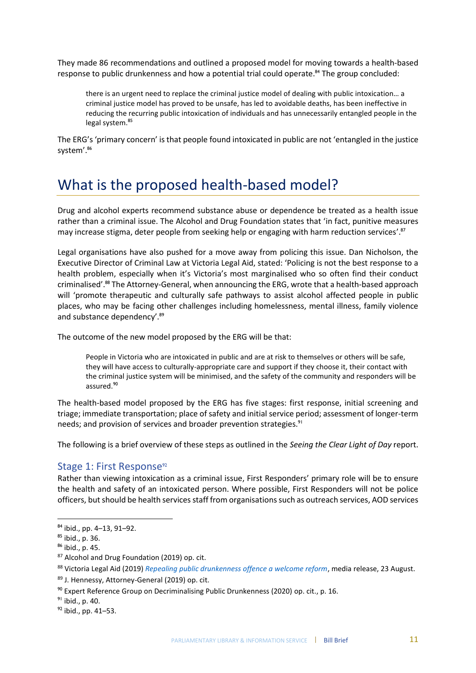They made 86 recommendations and outlined a proposed model for moving towards a health-based response to public drunkenness and how a potential trial could operate.<sup>84</sup> The group concluded:

there is an urgent need to replace the criminal justice model of dealing with public intoxication… a criminal justice model has proved to be unsafe, has led to avoidable deaths, has been ineffective in reducing the recurring public intoxication of individuals and has unnecessarily entangled people in the legal system.<sup>85</sup>

The ERG's 'primary concern' is that people found intoxicated in public are not 'entangled in the justice system'.<sup>86</sup>

# What is the proposed health-based model?

Drug and alcohol experts recommend substance abuse or dependence be treated as a health issue rather than a criminal issue. The Alcohol and Drug Foundation states that 'in fact, punitive measures may increase stigma, deter people from seeking help or engaging with harm reduction services'.<sup>87</sup>

Legal organisations have also pushed for a move away from policing this issue. Dan Nicholson, the Executive Director of Criminal Law at Victoria Legal Aid, stated: 'Policing is not the best response to a health problem, especially when it's Victoria's most marginalised who so often find their conduct criminalised'.<sup>88</sup> The Attorney-General, when announcing the ERG, wrote that a health-based approach will 'promote therapeutic and culturally safe pathways to assist alcohol affected people in public places, who may be facing other challenges including homelessness, mental illness, family violence and substance dependency'.<sup>89</sup>

The outcome of the new model proposed by the ERG will be that:

People in Victoria who are intoxicated in public and are at risk to themselves or others will be safe, they will have access to culturally-appropriate care and support if they choose it, their contact with the criminal justice system will be minimised, and the safety of the community and responders will be assured.<sup>90</sup>

The health-based model proposed by the ERG has five stages: first response, initial screening and triage; immediate transportation; place of safety and initial service period; assessment of longer-term needs; and provision of services and broader prevention strategies.<sup>91</sup>

The following is a brief overview of these steps as outlined in the *Seeing the Clear Light of Day* report.

### Stage 1: First Response<sup>92</sup>

Rather than viewing intoxication as a criminal issue, First Responders' primary role will be to ensure the health and safety of an intoxicated person. Where possible, First Responders will not be police officers, but should be health services staff from organisations such as outreach services, AOD services

<sup>84</sup> ibid., pp. 4–13, 91–92.

<sup>85</sup> ibid., p. 36.

<sup>86</sup> ibid., p. 45.

<sup>87</sup> Alcohol and Drug Foundation (2019) op. cit.

<sup>88</sup> Victoria Legal Aid (2019) *[Repealing public drunkenness offence a welcome reform](https://www.legalaid.vic.gov.au/about-us/news/repealing-public-drunkenness-offence-welcome-reform)*, media release, 23 August.

<sup>89</sup> J. Hennessy, Attorney-General (2019) op. cit.

<sup>90</sup> Expert Reference Group on Decriminalising Public Drunkenness (2020) op. cit., p. 16.

<sup>91</sup> ibid., p. 40.

 $92$  ibid., pp. 41–53.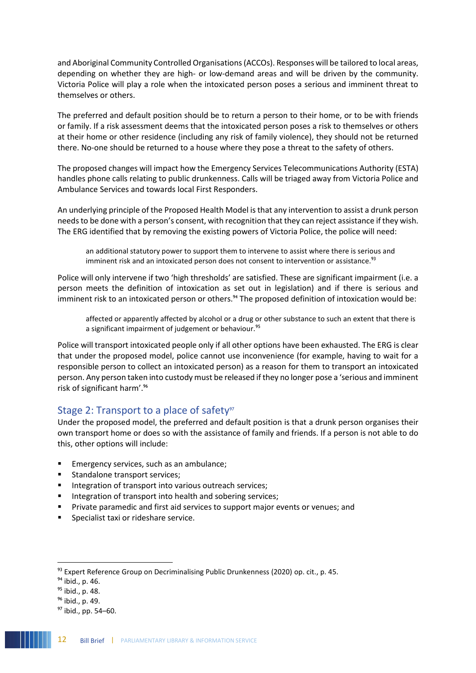and Aboriginal Community Controlled Organisations(ACCOs). Responses will be tailored to local areas, depending on whether they are high- or low-demand areas and will be driven by the community. Victoria Police will play a role when the intoxicated person poses a serious and imminent threat to themselves or others.

The preferred and default position should be to return a person to their home, or to be with friends or family. If a risk assessment deems that the intoxicated person poses a risk to themselves or others at their home or other residence (including any risk of family violence), they should not be returned there. No-one should be returned to a house where they pose a threat to the safety of others.

The proposed changes will impact how the Emergency Services Telecommunications Authority (ESTA) handles phone calls relating to public drunkenness. Calls will be triaged away from Victoria Police and Ambulance Services and towards local First Responders.

An underlying principle of the Proposed Health Model is that any intervention to assist a drunk person needs to be done with a person's consent, with recognition that they can reject assistance if they wish. The ERG identified that by removing the existing powers of Victoria Police, the police will need:

an additional statutory power to support them to intervene to assist where there is serious and imminent risk and an intoxicated person does not consent to intervention or assistance.<sup>93</sup>

Police will only intervene if two 'high thresholds' are satisfied. These are significant impairment (i.e. a person meets the definition of intoxication as set out in legislation) and if there is serious and imminent risk to an intoxicated person or others.<sup>94</sup> The proposed definition of intoxication would be:

affected or apparently affected by alcohol or a drug or other substance to such an extent that there is a significant impairment of judgement or behaviour.<sup>95</sup>

Police will transport intoxicated people only if all other options have been exhausted. The ERG is clear that under the proposed model, police cannot use inconvenience (for example, having to wait for a responsible person to collect an intoxicated person) as a reason for them to transport an intoxicated person. Any person taken into custody must be released if they no longer pose a 'serious and imminent risk of significant harm'.<sup>96</sup>

### Stage 2: Transport to a place of safety<sup>97</sup>

Under the proposed model, the preferred and default position is that a drunk person organises their own transport home or does so with the assistance of family and friends. If a person is not able to do this, other options will include:

- Emergency services, such as an ambulance;
- Standalone transport services;
- Integration of transport into various outreach services;
- Integration of transport into health and sobering services;
- Private paramedic and first aid services to support major events or venues; and
- Specialist taxi or rideshare service.

<sup>93</sup> Expert Reference Group on Decriminalising Public Drunkenness (2020) op. cit., p. 45.

<sup>94</sup> ibid., p. 46.

<sup>95</sup> ibid., p. 48.

<sup>96</sup> ibid., p. 49.

<sup>97</sup> ibid., pp. 54–60.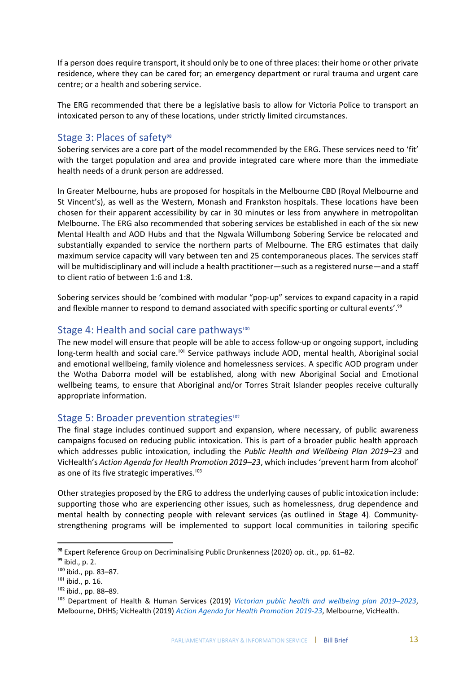If a person does require transport, it should only be to one of three places: their home or other private residence, where they can be cared for; an emergency department or rural trauma and urgent care centre; or a health and sobering service.

The ERG recommended that there be a legislative basis to allow for Victoria Police to transport an intoxicated person to any of these locations, under strictly limited circumstances.

### Stage 3: Places of safety<sup>98</sup>

Sobering services are a core part of the model recommended by the ERG. These services need to 'fit' with the target population and area and provide integrated care where more than the immediate health needs of a drunk person are addressed.

In Greater Melbourne, hubs are proposed for hospitals in the Melbourne CBD (Royal Melbourne and St Vincent's), as well as the Western, Monash and Frankston hospitals. These locations have been chosen for their apparent accessibility by car in 30 minutes or less from anywhere in metropolitan Melbourne. The ERG also recommended that sobering services be established in each of the six new Mental Health and AOD Hubs and that the Ngwala Willumbong Sobering Service be relocated and substantially expanded to service the northern parts of Melbourne. The ERG estimates that daily maximum service capacity will vary between ten and 25 contemporaneous places. The services staff will be multidisciplinary and will include a health practitioner—such as a registered nurse—and a staff to client ratio of between 1:6 and 1:8.

Sobering services should be 'combined with modular "pop-up" services to expand capacity in a rapid and flexible manner to respond to demand associated with specific sporting or cultural events'.<sup>99</sup>

### Stage 4: Health and social care pathways<sup>100</sup>

The new model will ensure that people will be able to access follow-up or ongoing support, including long-term health and social care.<sup>101</sup> Service pathways include AOD, mental health, Aboriginal social and emotional wellbeing, family violence and homelessness services. A specific AOD program under the Wotha Daborra model will be established, along with new Aboriginal Social and Emotional wellbeing teams, to ensure that Aboriginal and/or Torres Strait Islander peoples receive culturally appropriate information.

### Stage 5: Broader prevention strategies<sup>102</sup>

The final stage includes continued support and expansion, where necessary, of public awareness campaigns focused on reducing public intoxication. This is part of a broader public health approach which addresses public intoxication, including the *Public Health and Wellbeing Plan 2019–23* and VicHealth's *Action Agenda for Health Promotion 2019–23*, which includes 'prevent harm from alcohol' as one of its five strategic imperatives.<sup>103</sup>

Other strategies proposed by the ERG to address the underlying causes of public intoxication include: supporting those who are experiencing other issues, such as homelessness, drug dependence and mental health by connecting people with relevant services (as outlined in Stage 4). Communitystrengthening programs will be implemented to support local communities in tailoring specific

<sup>98</sup> Expert Reference Group on Decriminalising Public Drunkenness (2020) op. cit., pp. 61–82.

<sup>99</sup> ibid., p. 2.

<sup>100</sup> ibid., pp. 83–87.

<sup>101</sup> ibid., p. 16.

<sup>102</sup> ibid., pp. 88–89.

<sup>103</sup> Department of Health & Human Services (2019) *[Victorian public health and wellbeing plan 2019](https://www2.health.vic.gov.au/about/publications/policiesandguidelines/victorian-public-health-wellbeing-plan-2019-2023)–2023*, Melbourne, DHHS; VicHealth (2019) *[Action Agenda for Health Promotion 2019-23](https://www.vichealth.vic.gov.au/media-and-resources/publications/vichealth-action-agenda)*, Melbourne, VicHealth.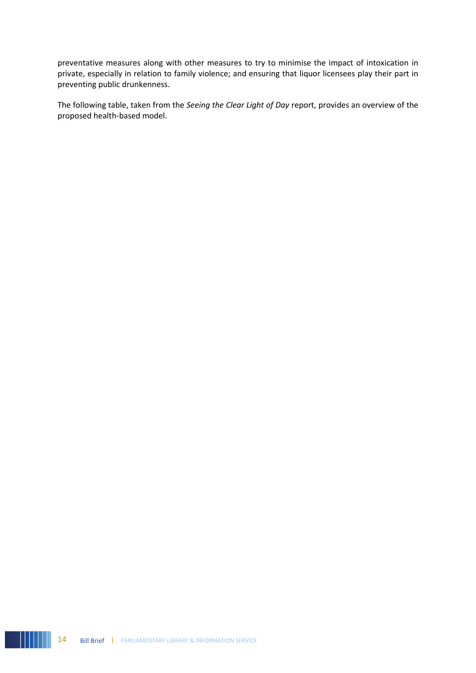preventative measures along with other measures to try to minimise the impact of intoxication in private, especially in relation to family violence; and ensuring that liquor licensees play their part in preventing public drunkenness.

The following table, taken from the *Seeing the Clear Light of Day* report, provides an overview of the proposed health-based model.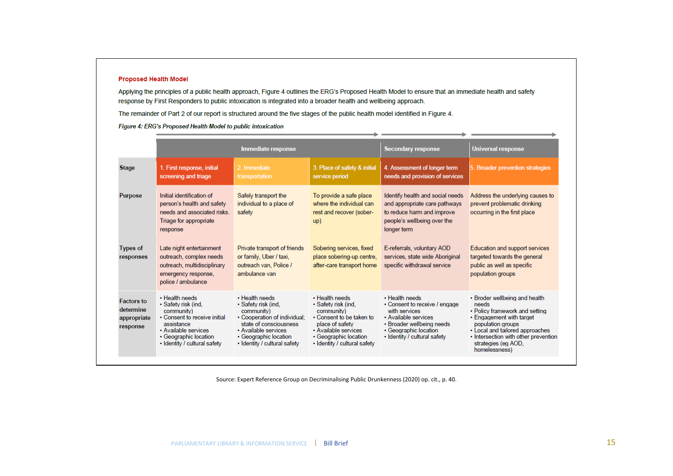#### **Proposed Health Model**

Applying the principles of a public health approach, Figure 4 outlines the ERG's Proposed Health Model to ensure that an immediate health and safety response by First Responders to public intoxication is integrated into a broader health and wellbeing approach.

The remainder of Part 2 of our report is structured around the five stages of the public health model identified in Figure 4.

Figure 4: ERG's Proposed Health Model to public intoxication

|                                                           | <b>Immediate response</b>                                                                                                                                                          |                                                                                                                                                                                                | <b>Secondary response</b>                                                                                                                                                           | <b>Universal response</b>                                                                                                                                                      |                                                                                                                                                                                                                                              |
|-----------------------------------------------------------|------------------------------------------------------------------------------------------------------------------------------------------------------------------------------------|------------------------------------------------------------------------------------------------------------------------------------------------------------------------------------------------|-------------------------------------------------------------------------------------------------------------------------------------------------------------------------------------|--------------------------------------------------------------------------------------------------------------------------------------------------------------------------------|----------------------------------------------------------------------------------------------------------------------------------------------------------------------------------------------------------------------------------------------|
| <b>Stage</b>                                              | 1. First response, initial<br>screening and triage                                                                                                                                 | 2. Immediate<br>transportation                                                                                                                                                                 | 3. Place of safety & initial<br>service period                                                                                                                                      | 4. Assessment of longer term<br>needs and provision of services                                                                                                                | 5. Broader prevention strategies                                                                                                                                                                                                             |
| <b>Purpose</b>                                            | Initial identification of<br>person's health and safety<br>needs and associated risks.<br>Triage for appropriate<br>response                                                       | Safely transport the<br>individual to a place of<br>safety                                                                                                                                     | To provide a safe place<br>where the individual can<br>rest and recover (sober-<br>up)                                                                                              | Identify health and social needs<br>and appropriate care pathways<br>to reduce harm and improve<br>people's wellbeing over the<br>longer term                                  | Address the underlying causes to<br>prevent problematic drinking<br>occurring in the first place                                                                                                                                             |
| <b>Types of</b><br>responses                              | Late night entertainment<br>outreach, complex needs<br>outreach, multidisciplinary<br>emergency response,<br>police / ambulance                                                    | Private transport of friends<br>or family, Uber / taxi,<br>outreach van. Police /<br>ambulance van                                                                                             | Sobering services, fixed<br>place sobering-up centre,<br>after-care transport home                                                                                                  | E-referrals, voluntary AOD<br>services, state wide Aboriginal<br>specific withdrawal service                                                                                   | Education and support services<br>targeted towards the general<br>public as well as specific<br>population groups                                                                                                                            |
| <b>Factors to</b><br>determine<br>appropriate<br>response | • Health needs<br>· Safety risk (ind,<br>community)<br>• Consent to receive initial<br>assistance<br>• Available services<br>• Geographic location<br>· Identity / cultural safety | . Health needs<br>· Safety risk (ind,<br>community)<br>• Cooperation of individual:<br>state of consciousness<br>• Available services<br>• Geographic location<br>. Identity / cultural safety | . Health needs<br>· Safety risk (ind,<br>community)<br>• Consent to be taken to<br>place of safety<br>• Available services<br>• Geographic location<br>. Identity / cultural safety | . Health needs<br>• Consent to receive / engage<br>with services<br>• Available services<br>• Broader wellbeing needs<br>• Geographic location<br>· Identity / cultural safety | • Broder wellbeing and health<br>needs<br>• Policy framework and setting<br>• Engagement with target<br>population groups<br>• Local and tailored approaches<br>• Intersection with other prevention<br>strategies (eg AOD,<br>homelessness) |

Source: Expert Reference Group on Decriminalising Public Drunkenness (2020) op. cit., p. 40.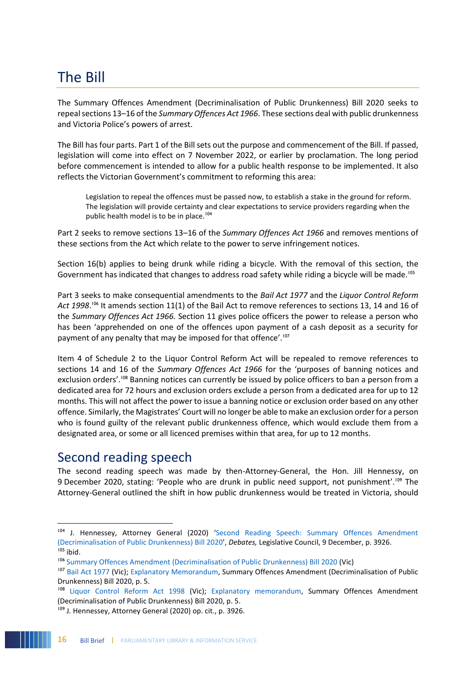# The Bill

The Summary Offences Amendment (Decriminalisation of Public Drunkenness) Bill 2020 seeks to repeal sections 13–16 of the *Summary Offences Act 1966*. These sections deal with public drunkenness and Victoria Police's powers of arrest.

The Bill has four parts. Part 1 of the Bill sets out the purpose and commencement of the Bill. If passed, legislation will come into effect on 7 November 2022, or earlier by proclamation. The long period before commencement is intended to allow for a public health response to be implemented. It also reflects the Victorian Government's commitment to reforming this area:

Legislation to repeal the offences must be passed now, to establish a stake in the ground for reform. The legislation will provide certainty and clear expectations to service providers regarding when the public health model is to be in place.<sup>104</sup>

Part 2 seeks to remove sections 13–16 of the *Summary Offences Act 1966* and removes mentions of these sections from the Act which relate to the power to serve infringement notices.

Section 16(b) applies to being drunk while riding a bicycle. With the removal of this section, the Government has indicated that changes to address road safety while riding a bicycle will be made.<sup>105</sup>

Part 3 seeks to make consequential amendments to the *Bail Act 1977* and the *Liquor Control Reform*  Act 1998.<sup>106</sup> It amends section 11(1) of the Bail Act to remove references to sections 13, 14 and 16 of the *Summary Offences Act 1966.* Section 11 gives police officers the power to release a person who has been 'apprehended on one of the offences upon payment of a cash deposit as a security for payment of any penalty that may be imposed for that offence'.<sup>107</sup>

Item 4 of Schedule 2 to the Liquor Control Reform Act will be repealed to remove references to sections 14 and 16 of the *Summary Offences Act 1966* for the 'purposes of banning notices and exclusion orders'.<sup>108</sup> Banning notices can currently be issued by police officers to ban a person from a dedicated area for 72 hours and exclusion orders exclude a person from a dedicated area for up to 12 months. This will not affect the power to issue a banning notice or exclusion order based on any other offence. Similarly, the Magistrates' Court will no longer be able to make an exclusion order for a person who is found guilty of the relevant public drunkenness offence, which would exclude them from a designated area, or some or all licenced premises within that area, for up to 12 months.

### Second reading speech

 $\overline{a}$ 

The second reading speech was made by then-Attorney-General, the Hon. Jill Hennessy, on 9 December 2020, stating: 'People who are drunk in public need support, not punishment'.<sup>109</sup> The Attorney-General outlined the shift in how public drunkenness would be treated in Victoria, should

<sup>&</sup>lt;sup>104</sup> J. Hennessey, Attorney General (2020) 'Second Reading Speech: Summary Offences Amendment [\(Decriminalisation of Public Drunkenness\) Bill 2020](https://hansard.parliament.vic.gov.au/?IW_INDEX=Hansard-2018-1&IW_FIELD_TEXT=SpeechIdKey%20CONTAINS%20(09-12-2020_assembly_2012091247)%20AND%20OrderId%20CONTAINS%20(0)&LDMS=Y)', *Debates,* Legislative Council, 9 December, p. 3926.  $105$  ibid.

<sup>106</sup> [Summary Offences Amendment \(Decriminalisation of Public Drunkenness\) Bill 2020](https://www.legislation.vic.gov.au/bills/summary-offences-amendment-decriminalisation-public-drunkenness-bill-2020) (Vic)

<sup>&</sup>lt;sup>107</sup> [Bail Act 1977](https://www.legislation.vic.gov.au/in-force/acts/bail-act-1977/147) (Vic); [Explanatory Memorandum,](https://content.legislation.vic.gov.au/sites/default/files/bills/591173exi1.pdf) Summary Offences Amendment (Decriminalisation of Public Drunkenness) Bill 2020, p. 5.

<sup>&</sup>lt;sup>108</sup> [Liquor Control Reform Act 1998](https://www.legislation.vic.gov.au/in-force/acts/liquor-control-reform-act-1998/094) (Vic); [Explanatory memorandum,](https://content.legislation.vic.gov.au/sites/default/files/bills/591173exi1.pdf) Summary Offences Amendment (Decriminalisation of Public Drunkenness) Bill 2020, p. 5.

<sup>109</sup> J. Hennessey, Attorney General (2020) op. cit., p. 3926.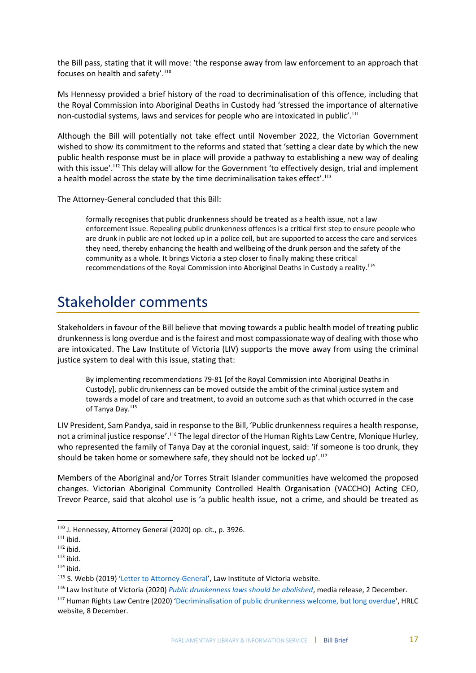the Bill pass, stating that it will move: 'the response away from law enforcement to an approach that focuses on health and safety'.<sup>110</sup>

Ms Hennessy provided a brief history of the road to decriminalisation of this offence, including that the Royal Commission into Aboriginal Deaths in Custody had 'stressed the importance of alternative non-custodial systems, laws and services for people who are intoxicated in public'.<sup>111</sup>

Although the Bill will potentially not take effect until November 2022, the Victorian Government wished to show its commitment to the reforms and stated that 'setting a clear date by which the new public health response must be in place will provide a pathway to establishing a new way of dealing with this issue'.<sup>112</sup> This delay will allow for the Government 'to effectively design, trial and implement a health model across the state by the time decriminalisation takes effect'.<sup>113</sup>

The Attorney-General concluded that this Bill:

formally recognises that public drunkenness should be treated as a health issue, not a law enforcement issue. Repealing public drunkenness offences is a critical first step to ensure people who are drunk in public are not locked up in a police cell, but are supported to access the care and services they need, thereby enhancing the health and wellbeing of the drunk person and the safety of the community as a whole. It brings Victoria a step closer to finally making these critical recommendations of the Royal Commission into Aboriginal Deaths in Custody a reality.<sup>114</sup>

# Stakeholder comments

Stakeholders in favour of the Bill believe that moving towards a public health model of treating public drunkenness is long overdue and is the fairest and most compassionate way of dealing with those who are intoxicated. The Law Institute of Victoria (LIV) supports the move away from using the criminal justice system to deal with this issue, stating that:

By implementing recommendations 79-81 [of the Royal Commission into Aboriginal Deaths in Custody], public drunkenness can be moved outside the ambit of the criminal justice system and towards a model of care and treatment, to avoid an outcome such as that which occurred in the case of Tanya Day.<sup>115</sup>

LIV President, Sam Pandya, said in response to the Bill, 'Public drunkenness requires a health response, not a criminal justice response'.<sup>116</sup> The legal director of the Human Rights Law Centre, Monique Hurley, who represented the family of Tanya Day at the coronial inquest, said: 'if someone is too drunk, they should be taken home or somewhere safe, they should not be locked up'.<sup>117</sup>

Members of the Aboriginal and/or Torres Strait Islander communities have welcomed the proposed changes. Victorian Aboriginal Community Controlled Health Organisation (VACCHO) Acting CEO, Trevor Pearce, said that alcohol use is 'a public health issue, not a crime, and should be treated as

**<sup>.</sup>** <sup>110</sup> J. Hennessey, Attorney General (2020) op. cit., p. 3926.

<sup>111</sup> ibid.

 $112$  ibid.

 $113$  ibid.

 $114$  ibid.

<sup>115</sup> S. Webb (2019) '[Letter to Attorney-General](https://www.liv.asn.au/getattachment/Staying-Informed/LIJ/LIJ/April-2019/Public-drunkenness-law-should-be-abolished/20190410_LET_PRES_OffenceofPublicDrunkenness-(1).pdf)', Law Institute of Victoria website.

<sup>116</sup> Law Institute of Victoria (2020) *[Public drunkenness laws should be abolished](https://www.liv.asn.au/Staying-Informed/Media-Releases/Media-Releases/December-2020/Public-drunkenness-laws-should-be-abolished)*, media release, 2 December.

<sup>&</sup>lt;sup>117</sup> Human Rights Law Centre (2020) '[Decriminalisation of public drunkenness welcome, but long overdue](https://www.hrlc.org.au/news/2020/12/7/decriminalisation-public-drunkenness-welcome-but-long-overdue)', HRLC website, 8 December.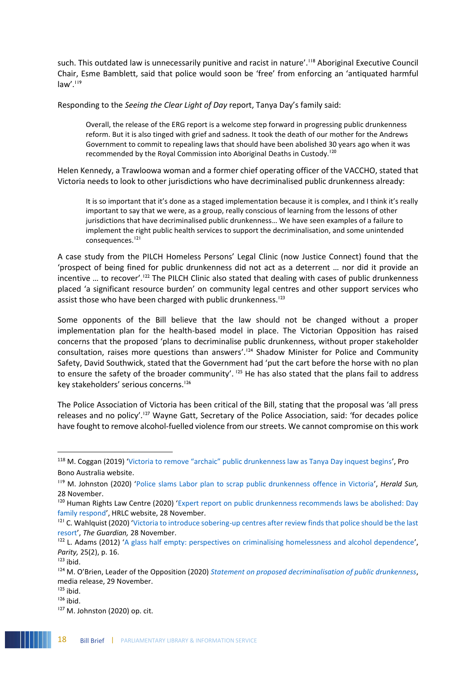such. This outdated law is unnecessarily punitive and racist in nature'.<sup>118</sup> Aboriginal Executive Council Chair, Esme Bamblett, said that police would soon be 'free' from enforcing an 'antiquated harmful law'.<sup>119</sup>

Responding to the *Seeing the Clear Light of Day* report, Tanya Day's family said:

Overall, the release of the ERG report is a welcome step forward in progressing public drunkenness reform. But it is also tinged with grief and sadness. It took the death of our mother for the Andrews Government to commit to repealing laws that should have been abolished 30 years ago when it was recommended by the Royal Commission into Aboriginal Deaths in Custody.<sup>120</sup>

Helen Kennedy, a Trawloowa woman and a former chief operating officer of the VACCHO, stated that Victoria needs to look to other jurisdictions who have decriminalised public drunkenness already:

It is so important that it's done as a staged implementation because it is complex, and I think it's really important to say that we were, as a group, really conscious of learning from the lessons of other jurisdictions that have decriminalised public drunkenness… We have seen examples of a failure to implement the right public health services to support the decriminalisation, and some unintended consequences. 121

A case study from the PILCH Homeless Persons' Legal Clinic (now Justice Connect) found that the 'prospect of being fined for public drunkenness did not act as a deterrent … nor did it provide an incentive ... to recover'.<sup>122</sup> The PILCH Clinic also stated that dealing with cases of public drunkenness placed 'a significant resource burden' on community legal centres and other support services who assist those who have been charged with public drunkenness.<sup>123</sup>

Some opponents of the Bill believe that the law should not be changed without a proper implementation plan for the health-based model in place. The Victorian Opposition has raised concerns that the proposed 'plans to decriminalise public drunkenness, without proper stakeholder consultation, raises more questions than answers'.<sup>124</sup> Shadow Minister for Police and Community Safety, David Southwick, stated that the Government had 'put the cart before the horse with no plan to ensure the safety of the broader community'. <sup>125</sup> He has also stated that the plans fail to address key stakeholders' serious concerns.<sup>126</sup>

The Police Association of Victoria has been critical of the Bill, stating that the proposal was 'all press releases and no policy'.<sup>127</sup> Wayne Gatt, Secretary of the Police Association, said: 'for decades police have fought to remove alcohol-fuelled violence from our streets. We cannot compromise on this work

<sup>118</sup> M. Coggan (2019) ['Victoria to remove "archaic" public drunkenness law as Tanya Day inquest begins',](https://probonoaustralia.com.au/news/2019/08/victoria-to-remove-archaic-public-drunkenness-law-as-tanya-day-inquest-begins/) Pro Bono Australia website.

<sup>119</sup> M. Johnston (2020) '[Police slams Labor plan to scrap public drunkenness offence in Victoria](https://www.heraldsun.com.au/news/victoria/police-slams-labor-plan-to-scrap-public-drunkenness-offence-in-victoria/news-story/b00b2516237d6ea6a4a782268dc3a666)', *Herald Sun,*  28 November.

<sup>&</sup>lt;sup>120</sup> Human Rights Law Centre (2020) 'Expert report on public drunkenness recommends laws be abolished: Day [family respond](https://www.hrlc.org.au/news/2020/11/27/public-drunkenness-laws-to-be-abolished-day-family)', HRLC website, 28 November.

 $121$  C. Wahlquist (2020) 'Victoria to introduce sobering-up centres after review finds that police should be the last [resort](https://www.theguardian.com/australia-news/2020/nov/28/victoria-delays-decriminalising-public-drunkenness-until-2022)', *The Guardian,* 28 November.

<sup>&</sup>lt;sup>122</sup> L. Adams (2012) '[A glass half empty: perspectives on criminalising homelessness and alcohol dependence](https://search.informit.org/doi/epdf/10.3316/informit.639193688246303)', *Parity,* 25(2), p. 16.

 $123$  ibid.

<sup>&</sup>lt;sup>124</sup> M. O'Brien, Leader of the Opposition (2020) *[Statement on proposed decriminalisation of public drunkenness](https://www.michaelobrien.com.au/statement-on-proposed-decriminalisation-of-public-drunkenness/)*, media release, 29 November.

 $125$  ibid.

 $126$  ibid.

<sup>127</sup> M. Johnston (2020) op. cit.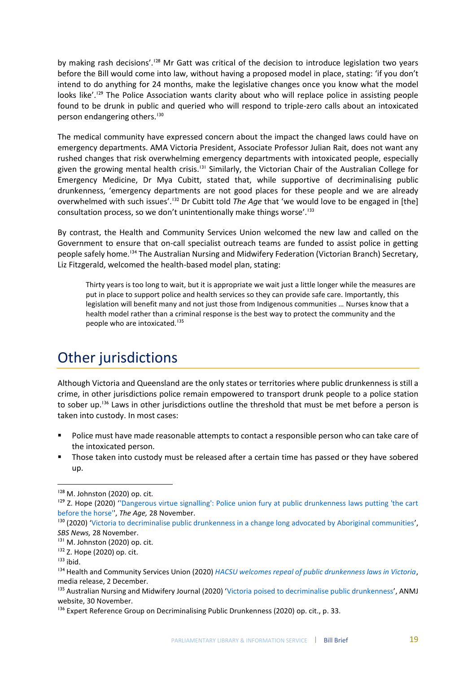by making rash decisions'.<sup>128</sup> Mr Gatt was critical of the decision to introduce legislation two years before the Bill would come into law, without having a proposed model in place, stating: 'if you don't intend to do anything for 24 months, make the legislative changes once you know what the model looks like'.<sup>129</sup> The Police Association wants clarity about who will replace police in assisting people found to be drunk in public and queried who will respond to triple-zero calls about an intoxicated person endangering others.<sup>130</sup>

The medical community have expressed concern about the impact the changed laws could have on emergency departments. AMA Victoria President, Associate Professor Julian Rait, does not want any rushed changes that risk overwhelming emergency departments with intoxicated people, especially given the growing mental health crisis.<sup>131</sup> Similarly, the Victorian Chair of the Australian College for Emergency Medicine, Dr Mya Cubitt, stated that, while supportive of decriminalising public drunkenness, 'emergency departments are not good places for these people and we are already overwhelmed with such issues'.<sup>132</sup> Dr Cubitt told *The Age* that 'we would love to be engaged in [the] consultation process, so we don't unintentionally make things worse'.<sup>133</sup>

By contrast, the Health and Community Services Union welcomed the new law and called on the Government to ensure that on-call specialist outreach teams are funded to assist police in getting people safely home.<sup>134</sup> The Australian Nursing and Midwifery Federation (Victorian Branch) Secretary, Liz Fitzgerald, welcomed the health-based model plan, stating:

Thirty years is too long to wait, but it is appropriate we wait just a little longer while the measures are put in place to support police and health services so they can provide safe care. Importantly, this legislation will benefit many and not just those from Indigenous communities … Nurses know that a health model rather than a criminal response is the best way to protect the community and the people who are intoxicated.<sup>135</sup>

# Other jurisdictions

Although Victoria and Queensland are the only states or territories where public drunkenness is still a crime, in other jurisdictions police remain empowered to transport drunk people to a police station to sober up.<sup>136</sup> Laws in other jurisdictions outline the threshold that must be met before a person is taken into custody. In most cases:

- Police must have made reasonable attempts to contact a responsible person who can take care of the intoxicated person.
- Those taken into custody must be released after a certain time has passed or they have sobered up.

<sup>130</sup> (2020) '[Victoria to decriminalise public drunkenness in a change long advocated by Aboriginal communities](https://www.sbs.com.au/news/victoria-to-decriminalise-public-drunkenness-in-a-change-long-advocated-by-aboriginal-communities)', *SBS News,* 28 November.

1

<sup>&</sup>lt;sup>128</sup> M. Johnston (2020) op. cit.

<sup>&</sup>lt;sup>129</sup> Z. Hope (2020) "Dangerous virtue signalling': Police union fury at public drunkenness laws putting 'the cart [before the horse''](https://www.theage.com.au/national/victoria/dangerous-virtue-signalling-police-union-fury-at-public-drunkenness-laws-putting-the-cart-before-the-horse-20201128-p56iro.html), *The Age,* 28 November.

<sup>131</sup> M. Johnston (2020) op. cit.

<sup>132</sup> Z. Hope (2020) op. cit.

 $133$  ibid.

<sup>134</sup> Health and Community Services Union (2020) *[HACSU welcomes repeal of public drunkenness laws in Victoria](https://hacsu.asn.au/HACSU-welcomes-repeal-of-public-drunkenness-laws-in-Victoria~26327)*, media release, 2 December.

<sup>&</sup>lt;sup>135</sup> Australian Nursing and Midwifery Journal (2020) '[Victoria poised to decriminalise public drunkenness](https://anmj.org.au/victoria-poised-to-decriminalise-public-drunkenness/)', ANMJ website, 30 November.

<sup>&</sup>lt;sup>136</sup> Expert Reference Group on Decriminalising Public Drunkenness (2020) op. cit., p. 33.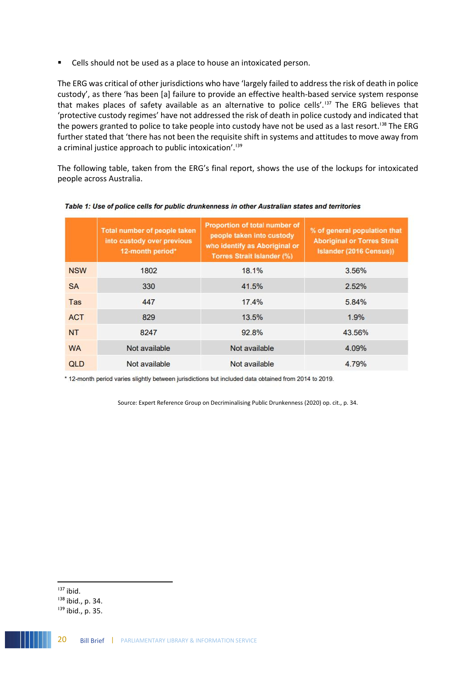■ Cells should not be used as a place to house an intoxicated person.

The ERG was critical of other jurisdictions who have 'largely failed to address the risk of death in police custody', as there 'has been [a] failure to provide an effective health-based service system response that makes places of safety available as an alternative to police cells'.<sup>137</sup> The ERG believes that 'protective custody regimes' have not addressed the risk of death in police custody and indicated that the powers granted to police to take people into custody have not be used as a last resort.<sup>138</sup> The ERG further stated that 'there has not been the requisite shift in systems and attitudes to move away from a criminal justice approach to public intoxication'.<sup>139</sup>

The following table, taken from the ERG's final report, shows the use of the lockups for intoxicated people across Australia.

|            | Total number of people taken<br>into custody over previous<br>12-month period* | Proportion of total number of<br>people taken into custody<br>who identify as Aboriginal or<br><b>Torres Strait Islander (%)</b> | % of general population that<br><b>Aboriginal or Torres Strait</b><br>Islander (2016 Census)) |
|------------|--------------------------------------------------------------------------------|----------------------------------------------------------------------------------------------------------------------------------|-----------------------------------------------------------------------------------------------|
| <b>NSW</b> | 1802                                                                           | 18.1%                                                                                                                            | 3.56%                                                                                         |
| <b>SA</b>  | 330                                                                            | 41.5%                                                                                                                            | 2.52%                                                                                         |
| Tas        | 447                                                                            | 17.4%                                                                                                                            | 5.84%                                                                                         |
| <b>ACT</b> | 829                                                                            | 13.5%                                                                                                                            | 1.9%                                                                                          |
| <b>NT</b>  | 8247                                                                           | 92.8%                                                                                                                            | 43.56%                                                                                        |
| <b>WA</b>  | Not available                                                                  | Not available                                                                                                                    | 4.09%                                                                                         |
| <b>QLD</b> | Not available                                                                  | Not available                                                                                                                    | 4.79%                                                                                         |

Table 1: Use of police cells for public drunkenness in other Australian states and territories

\* 12-month period varies slightly between jurisdictions but included data obtained from 2014 to 2019.

Source: Expert Reference Group on Decriminalising Public Drunkenness (2020) op. cit., p. 34.

 $137$  ibid.

<sup>138</sup> ibid., p. 34.

<sup>&</sup>lt;sup>139</sup> ibid., p. 35.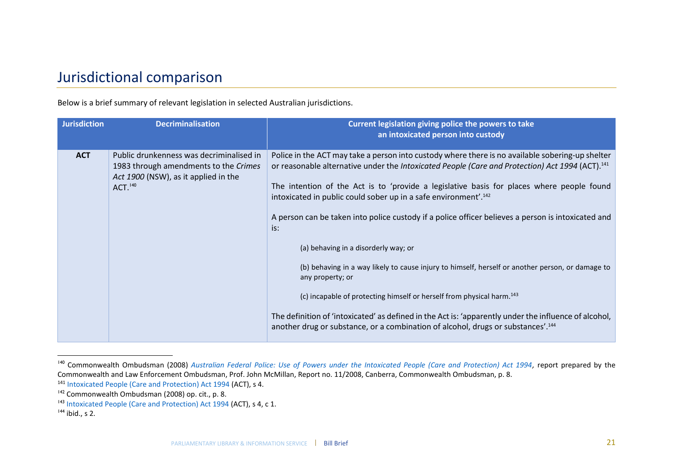# Jurisdictional comparison

Below is a brief summary of relevant legislation in selected Australian jurisdictions.

| <b>Jurisdiction</b> | <b>Decriminalisation</b>                                                                                                                         | Current legislation giving police the powers to take<br>an intoxicated person into custody                                                                                                                                                                                                                                                                                                                                                                                                                                                                                                                                                                                                                                                                                                                                                                                                                                                                             |
|---------------------|--------------------------------------------------------------------------------------------------------------------------------------------------|------------------------------------------------------------------------------------------------------------------------------------------------------------------------------------------------------------------------------------------------------------------------------------------------------------------------------------------------------------------------------------------------------------------------------------------------------------------------------------------------------------------------------------------------------------------------------------------------------------------------------------------------------------------------------------------------------------------------------------------------------------------------------------------------------------------------------------------------------------------------------------------------------------------------------------------------------------------------|
| <b>ACT</b>          | Public drunkenness was decriminalised in<br>1983 through amendments to the Crimes<br>Act 1900 (NSW), as it applied in the<br>ACT. <sup>140</sup> | Police in the ACT may take a person into custody where there is no available sobering-up shelter<br>or reasonable alternative under the Intoxicated People (Care and Protection) Act 1994 (ACT). <sup>141</sup><br>The intention of the Act is to 'provide a legislative basis for places where people found<br>intoxicated in public could sober up in a safe environment'. <sup>142</sup><br>A person can be taken into police custody if a police officer believes a person is intoxicated and<br>is:<br>(a) behaving in a disorderly way; or<br>(b) behaving in a way likely to cause injury to himself, herself or another person, or damage to<br>any property; or<br>(c) incapable of protecting himself or herself from physical harm. <sup>143</sup><br>The definition of 'intoxicated' as defined in the Act is: 'apparently under the influence of alcohol,<br>another drug or substance, or a combination of alcohol, drugs or substances'. <sup>144</sup> |

<sup>140</sup> Commonwealth Ombudsman (2008) *[Australian Federal Police: Use of Powers under the Intoxicated People \(Care and Protection\) Act 1994,](https://www.ombudsman.gov.au/__data/assets/pdf_file/0026/26189/investigation_2008_11.pdf)* report prepared by the Commonwealth and Law Enforcement Ombudsman, Prof. John McMillan, Report no. 11/2008, Canberra, Commonwealth Ombudsman, p. 8.

 $\overline{a}$ 

<sup>141</sup> [Intoxicated People \(Care and Protection\) Act 1994](https://www.legislation.act.gov.au/a/1994-85/default.asp) (ACT), s 4.

<sup>&</sup>lt;sup>142</sup> Commonwealth Ombudsman (2008) op. cit., p. 8.

<sup>143</sup> [Intoxicated People \(Care and Protection\) Act 1994](https://www.legislation.act.gov.au/a/1994-85/default.asp) (ACT), s 4, c 1.

<sup>144</sup> ibid., s 2.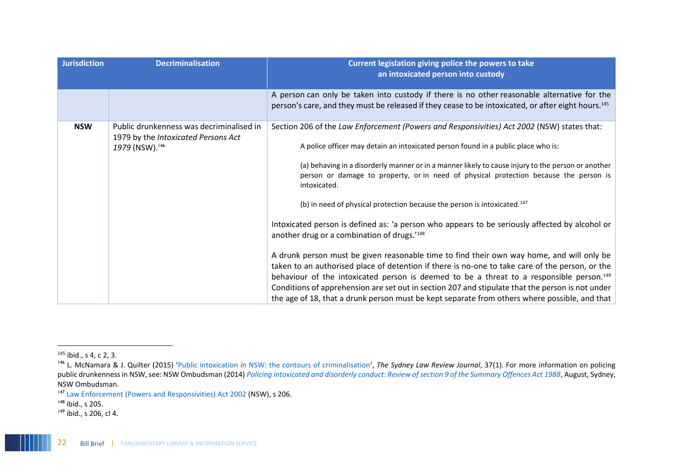| <b>Jurisdiction</b> | <b>Decriminalisation</b>                                                                           | Current legislation giving police the powers to take<br>an intoxicated person into custody                                                                                                                                                                                                                                                                                                                                                                                                                                                                                                                                                                                                                                                                                                                                                                                                                                                                                                                                                                                                                                                                       |
|---------------------|----------------------------------------------------------------------------------------------------|------------------------------------------------------------------------------------------------------------------------------------------------------------------------------------------------------------------------------------------------------------------------------------------------------------------------------------------------------------------------------------------------------------------------------------------------------------------------------------------------------------------------------------------------------------------------------------------------------------------------------------------------------------------------------------------------------------------------------------------------------------------------------------------------------------------------------------------------------------------------------------------------------------------------------------------------------------------------------------------------------------------------------------------------------------------------------------------------------------------------------------------------------------------|
|                     |                                                                                                    | A person can only be taken into custody if there is no other reasonable alternative for the<br>person's care, and they must be released if they cease to be intoxicated, or after eight hours. <sup>145</sup>                                                                                                                                                                                                                                                                                                                                                                                                                                                                                                                                                                                                                                                                                                                                                                                                                                                                                                                                                    |
| <b>NSW</b>          | Public drunkenness was decriminalised in<br>1979 by the Intoxicated Persons Act<br>1979 (NSW). 146 | Section 206 of the Law Enforcement (Powers and Responsivities) Act 2002 (NSW) states that:<br>A police officer may detain an intoxicated person found in a public place who is:<br>(a) behaving in a disorderly manner or in a manner likely to cause injury to the person or another<br>person or damage to property, or in need of physical protection because the person is<br>intoxicated.<br>(b) in need of physical protection because the person is intoxicated. <sup>147</sup><br>Intoxicated person is defined as: 'a person who appears to be seriously affected by alcohol or<br>another drug or a combination of drugs.' <sup>148</sup><br>A drunk person must be given reasonable time to find their own way home, and will only be<br>taken to an authorised place of detention if there is no-one to take care of the person, or the<br>behaviour of the intoxicated person is deemed to be a threat to a responsible person. <sup>149</sup><br>Conditions of apprehension are set out in section 207 and stipulate that the person is not under<br>the age of 18, that a drunk person must be kept separate from others where possible, and that |

 $\overline{a}$ 

<sup>145</sup> ibid., s 4, c 2, 3.

<sup>146</sup> L. McNamara & J. Quilter (2015) '[Public intoxication in NSW: the contours of criminalisation](https://scholars.uow.edu.au/display/publication99775)', *The Sydney Law Review Journal*, 37(1). For more information on policing public drunkenness in NSW, see: NSW Ombudsman (2014) *[Policing intoxicated and disorderly conduct: Review of section 9 of the Summary Offences Act 1988](https://www.ombo.nsw.gov.au/__data/assets/pdf_file/0006/18852/Policing-intoxicated-and-disorderly-conduct-Report-Review-of-section-9-of-the-Summary-Offences-Act-1988_Aug14_web.pdf)*, August, Sydney, NSW Ombudsman.

<sup>147</sup> [Law Enforcement \(Powers and Responsivities\) Act 2002](https://www.legislation.nsw.gov.au/view/html/inforce/current/act-2002-103) (NSW), s 206.

<sup>&</sup>lt;sup>148</sup> ibid., s 205.

 $149$  ibid., s 206, cl 4.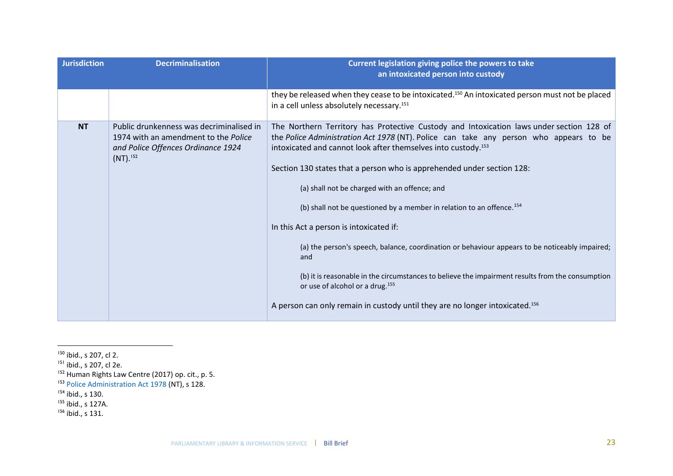| <b>Jurisdiction</b> | <b>Decriminalisation</b>                                                                                                                         | Current legislation giving police the powers to take<br>an intoxicated person into custody                                                                                                                                                                                                                                                                                                                                                                                                                                                                                                                                                                                                                                                                                                                                                                                        |
|---------------------|--------------------------------------------------------------------------------------------------------------------------------------------------|-----------------------------------------------------------------------------------------------------------------------------------------------------------------------------------------------------------------------------------------------------------------------------------------------------------------------------------------------------------------------------------------------------------------------------------------------------------------------------------------------------------------------------------------------------------------------------------------------------------------------------------------------------------------------------------------------------------------------------------------------------------------------------------------------------------------------------------------------------------------------------------|
|                     |                                                                                                                                                  | they be released when they cease to be intoxicated. <sup>150</sup> An intoxicated person must not be placed<br>in a cell unless absolutely necessary. <sup>151</sup>                                                                                                                                                                                                                                                                                                                                                                                                                                                                                                                                                                                                                                                                                                              |
| <b>NT</b>           | Public drunkenness was decriminalised in<br>1974 with an amendment to the Police<br>and Police Offences Ordinance 1924<br>$(NT).$ <sup>152</sup> | The Northern Territory has Protective Custody and Intoxication laws under section 128 of<br>the Police Administration Act 1978 (NT). Police can take any person who appears to be<br>intoxicated and cannot look after themselves into custody. <sup>153</sup><br>Section 130 states that a person who is apprehended under section 128:<br>(a) shall not be charged with an offence; and<br>(b) shall not be questioned by a member in relation to an offence. <sup>154</sup><br>In this Act a person is intoxicated if:<br>(a) the person's speech, balance, coordination or behaviour appears to be noticeably impaired;<br>and<br>(b) it is reasonable in the circumstances to believe the impairment results from the consumption<br>or use of alcohol or a drug. <sup>155</sup><br>A person can only remain in custody until they are no longer intoxicated. <sup>156</sup> |

 $\overline{a}$ <sup>150</sup> ibid., s 207, cl 2.

 $156$  ibid., s 131.

<sup>&</sup>lt;sup>151</sup> ibid., s 207, cl 2e.

<sup>&</sup>lt;sup>152</sup> Human Rights Law Centre (2017) op. cit., p. 5.

<sup>&</sup>lt;sup>153</sup> [Police Administration Act 1978](https://legislation.nt.gov.au/en/Legislation/POLICE-ADMINISTRATION-ACT-1978) (NT), s 128.

 $154$  ibid., s 130.

 $155$  ibid., s 127A.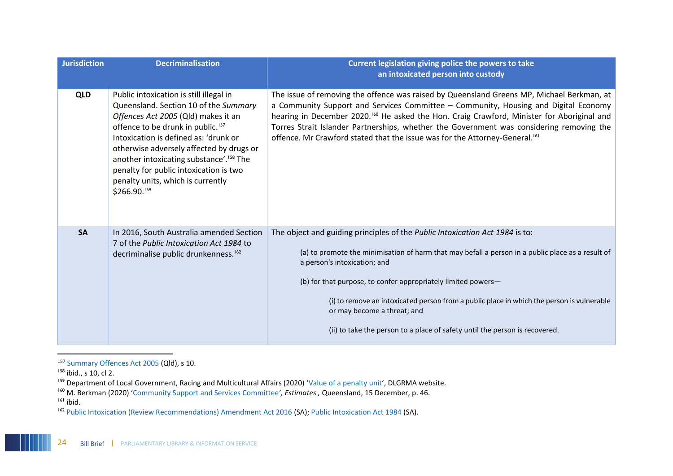| <b>Jurisdiction</b> | <b>Decriminalisation</b>                                                                                                                                                                                                                                                                                                                                                                                            | Current legislation giving police the powers to take<br>an intoxicated person into custody                                                                                                                                                                                                                                                                                                                                                                                                    |
|---------------------|---------------------------------------------------------------------------------------------------------------------------------------------------------------------------------------------------------------------------------------------------------------------------------------------------------------------------------------------------------------------------------------------------------------------|-----------------------------------------------------------------------------------------------------------------------------------------------------------------------------------------------------------------------------------------------------------------------------------------------------------------------------------------------------------------------------------------------------------------------------------------------------------------------------------------------|
| <b>QLD</b>          | Public intoxication is still illegal in<br>Queensland. Section 10 of the Summary<br>Offences Act 2005 (Qld) makes it an<br>offence to be drunk in public. <sup>157</sup><br>Intoxication is defined as: 'drunk or<br>otherwise adversely affected by drugs or<br>another intoxicating substance'. <sup>158</sup> The<br>penalty for public intoxication is two<br>penalty units, which is currently<br>\$266.90.159 | The issue of removing the offence was raised by Queensland Greens MP, Michael Berkman, at<br>a Community Support and Services Committee - Community, Housing and Digital Economy<br>hearing in December 2020. <sup>160</sup> He asked the Hon. Craig Crawford, Minister for Aboriginal and<br>Torres Strait Islander Partnerships, whether the Government was considering removing the<br>offence. Mr Crawford stated that the issue was for the Attorney-General. <sup>161</sup>             |
| <b>SA</b>           | In 2016, South Australia amended Section<br>7 of the Public Intoxication Act 1984 to<br>decriminalise public drunkenness. <sup>162</sup>                                                                                                                                                                                                                                                                            | The object and guiding principles of the Public Intoxication Act 1984 is to:<br>(a) to promote the minimisation of harm that may befall a person in a public place as a result of<br>a person's intoxication; and<br>(b) for that purpose, to confer appropriately limited powers-<br>(i) to remove an intoxicated person from a public place in which the person is vulnerable<br>or may become a threat; and<br>(ii) to take the person to a place of safety until the person is recovered. |

<sup>&</sup>lt;sup>157</sup> [Summary Offences Act 2005](https://www.legislation.qld.gov.au/view/html/inforce/current/act-2005-004) (Qld), s 10.

 $\overline{a}$ 

<sup>&</sup>lt;sup>158</sup> ibid., s 10, cl 2.

<sup>159</sup> Department of Local Government, Racing and Multicultural Affairs (2020) '[Value of a penalty unit](https://www.dlgrma.qld.gov.au/local-government/governance/laws2/value-of-a-penalty-unit#:~:text=Current%20value%20of%20the%20penalty,state%20legislation%20will%20be%20%24133.45.)', DLGRMA website.

<sup>160</sup> M. Berkman (2020) '[Community Support and Services Committee](https://www.parliament.qld.gov.au/documents/Hansard/2020/2020_12_15_EstimatesCSC.pdf#page=46)*', Estimates ,* Queensland, 15 December, p. 46.

<sup>161</sup> ibid.

<sup>162</sup> [Public Intoxication \(Review Recommendations\) Amendment Act 2016](https://www.legislation.sa.gov.au/LZ/V/A/2016/PUBLIC%20INTOXICATION%20(REVIEW%20RECOMMENDATIONS)%20AMENDMENT%20ACT%202016_51.aspx) (SA); [Public Intoxication Act 1984](https://www.legislation.sa.gov.au/LZ/C/A/PUBLIC%20INTOXICATION%20ACT%201984/CURRENT/1984.47.AUTH.PDF) (SA).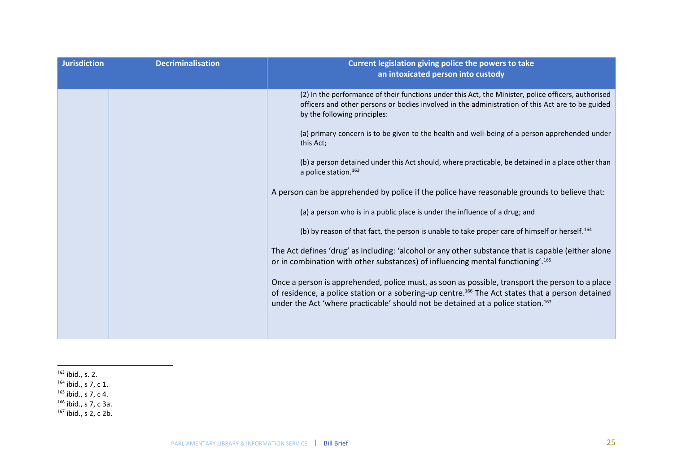| <b>Jurisdiction</b> | <b>Decriminalisation</b> | Current legislation giving police the powers to take<br>an intoxicated person into custody                                                                                                                                                                                                                      |
|---------------------|--------------------------|-----------------------------------------------------------------------------------------------------------------------------------------------------------------------------------------------------------------------------------------------------------------------------------------------------------------|
|                     |                          | (2) In the performance of their functions under this Act, the Minister, police officers, authorised<br>officers and other persons or bodies involved in the administration of this Act are to be guided<br>by the following principles:                                                                         |
|                     |                          | (a) primary concern is to be given to the health and well-being of a person apprehended under<br>this Act;                                                                                                                                                                                                      |
|                     |                          | (b) a person detained under this Act should, where practicable, be detained in a place other than<br>a police station. <sup>163</sup>                                                                                                                                                                           |
|                     |                          | A person can be apprehended by police if the police have reasonable grounds to believe that:                                                                                                                                                                                                                    |
|                     |                          | (a) a person who is in a public place is under the influence of a drug; and                                                                                                                                                                                                                                     |
|                     |                          | (b) by reason of that fact, the person is unable to take proper care of himself or herself. <sup>164</sup>                                                                                                                                                                                                      |
|                     |                          | The Act defines 'drug' as including: 'alcohol or any other substance that is capable (either alone<br>or in combination with other substances) of influencing mental functioning'. <sup>165</sup>                                                                                                               |
|                     |                          | Once a person is apprehended, police must, as soon as possible, transport the person to a place<br>of residence, a police station or a sobering-up centre. <sup>166</sup> The Act states that a person detained<br>under the Act 'where practicable' should not be detained at a police station. <sup>167</sup> |
|                     |                          |                                                                                                                                                                                                                                                                                                                 |

 $\overline{a}$ 

- <sup>165</sup> ibid., s 7, c 4.
- <sup>166</sup> ibid., s 7, c 3a.
- <sup>167</sup> ibid., s 2, c 2b.

 $163$  ibid., s. 2.

<sup>&</sup>lt;sup>164</sup> ibid., s 7, c 1.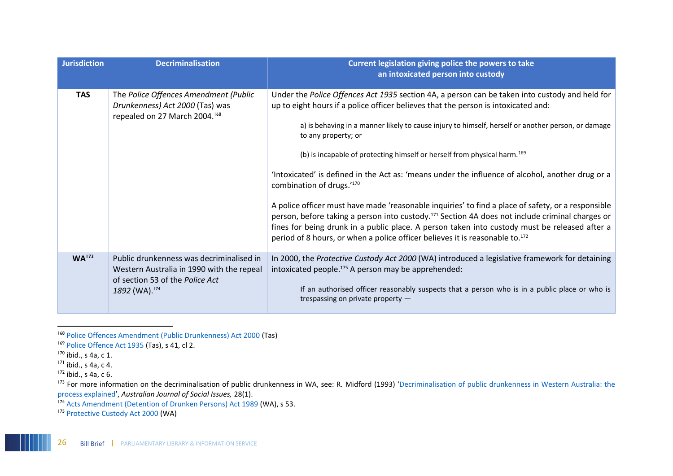| <b>Jurisdiction</b> | <b>Decriminalisation</b>                                                                                                                              | Current legislation giving police the powers to take<br>an intoxicated person into custody                                                                                                                                                                                                                                                                                                                                                                                                                                                                                                                                                                                                                                                                                                                                                                                                                                                                   |
|---------------------|-------------------------------------------------------------------------------------------------------------------------------------------------------|--------------------------------------------------------------------------------------------------------------------------------------------------------------------------------------------------------------------------------------------------------------------------------------------------------------------------------------------------------------------------------------------------------------------------------------------------------------------------------------------------------------------------------------------------------------------------------------------------------------------------------------------------------------------------------------------------------------------------------------------------------------------------------------------------------------------------------------------------------------------------------------------------------------------------------------------------------------|
| <b>TAS</b>          | The Police Offences Amendment (Public<br>Drunkenness) Act 2000 (Tas) was<br>repealed on 27 March 2004. <sup>168</sup>                                 | Under the Police Offences Act 1935 section 4A, a person can be taken into custody and held for<br>up to eight hours if a police officer believes that the person is intoxicated and:<br>a) is behaving in a manner likely to cause injury to himself, herself or another person, or damage<br>to any property; or<br>(b) is incapable of protecting himself or herself from physical harm. <sup>169</sup><br>'Intoxicated' is defined in the Act as: 'means under the influence of alcohol, another drug or a<br>combination of drugs.'170<br>A police officer must have made 'reasonable inquiries' to find a place of safety, or a responsible<br>person, before taking a person into custody. <sup>171</sup> Section 4A does not include criminal charges or<br>fines for being drunk in a public place. A person taken into custody must be released after a<br>period of 8 hours, or when a police officer believes it is reasonable to. <sup>172</sup> |
| WA <sup>173</sup>   | Public drunkenness was decriminalised in<br>Western Australia in 1990 with the repeal<br>of section 53 of the Police Act<br>1892 (WA). <sup>174</sup> | In 2000, the Protective Custody Act 2000 (WA) introduced a legislative framework for detaining<br>intoxicated people. <sup>175</sup> A person may be apprehended:<br>If an authorised officer reasonably suspects that a person who is in a public place or who is<br>trespassing on private property $-$                                                                                                                                                                                                                                                                                                                                                                                                                                                                                                                                                                                                                                                    |

<sup>168</sup> [Police Offences Amendment \(Public Drunkenness\) Act 2000](https://www.legislation.tas.gov.au/view/html/inforce/2002-03-27/act-2000-059) (Tas)

 $\overline{\phantom{a}}$ 

 $171$  ibid., s 4a, c 4.

<sup>&</sup>lt;sup>169</sup> [Police Offence Act 1935](https://www.legislation.tas.gov.au/view/html/inforce/current/act-1935-044#HPII@HDI@EN) (Tas), s 41, cl 2.

 $170$  ibid., s 4a, c 1.

 $172$  ibid., s 4a, c 6.

<sup>&</sup>lt;sup>173</sup> For more information on the decriminalisation of public drunkenness in WA, see: R. Midford (1993) 'Decriminalisation of public drunkenness in Western Australia: the [process explained](https://onlinelibrary.wiley.com/doi/abs/10.1002/j.1839-4655.1993.tb00918.x)', *Australian Journal of Social Issues,* 28(1).

<sup>174</sup> [Acts Amendment \(Detention of Drunken Persons\) Act 1989](https://www.legislation.wa.gov.au/legislation/prod/filestore.nsf/FileURL/mrdoc_7842.pdf/$FILE/Acts%20Amendment%20(Detention%20of%20Drunken%20Persons)%20Act%201989%20-%20%5B00-00-00%5D.pdf?OpenElement) (WA), s 53.

<sup>&</sup>lt;sup>175</sup> [Protective Custody Act 2000](https://www.legislation.wa.gov.au/legislation/prod/filestore.nsf/FileURL/mrdoc_28314.pdf/$FILE/Protective%20Custody%20Act%202000%20-%20%5B01-e0-01%5D.pdf?OpenElement) (WA)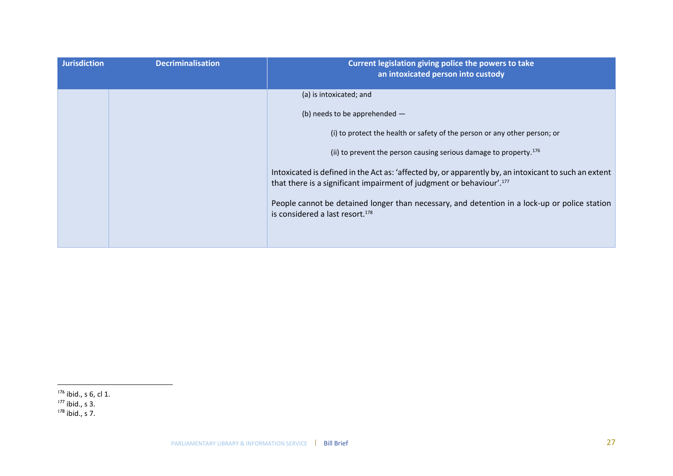| <b>Jurisdiction</b> | <b>Decriminalisation</b> | Current legislation giving police the powers to take<br>an intoxicated person into custody                                                                                                |
|---------------------|--------------------------|-------------------------------------------------------------------------------------------------------------------------------------------------------------------------------------------|
|                     |                          | (a) is intoxicated; and                                                                                                                                                                   |
|                     |                          | (b) needs to be apprehended $-$                                                                                                                                                           |
|                     |                          | (i) to protect the health or safety of the person or any other person; or                                                                                                                 |
|                     |                          | (ii) to prevent the person causing serious damage to property. <sup>176</sup>                                                                                                             |
|                     |                          | Intoxicated is defined in the Act as: 'affected by, or apparently by, an intoxicant to such an extent<br>that there is a significant impairment of judgment or behaviour'. <sup>177</sup> |
|                     |                          | People cannot be detained longer than necessary, and detention in a lock-up or police station<br>is considered a last resort. <sup>178</sup>                                              |
|                     |                          |                                                                                                                                                                                           |

 $\overline{a}$ 

<sup>178</sup> ibid., s 7.

 $176$  ibid., s 6, cl 1.

 $177$  ibid., s 3.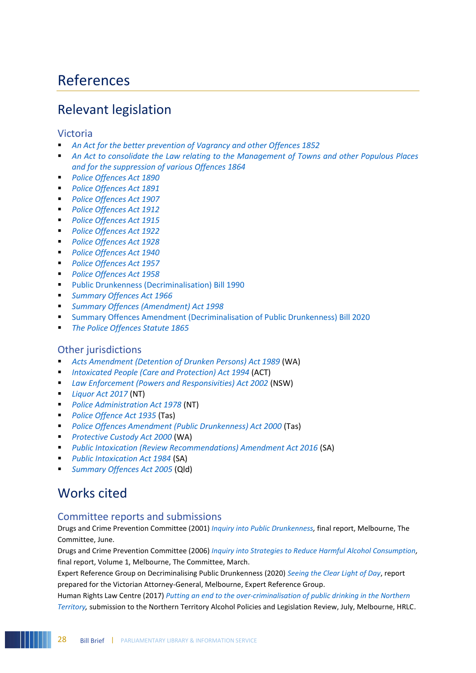# References

# Relevant legislation

#### Victoria

- *[An Act for the better prevention of Vagrancy and other Offences 1852](http://www.austlii.edu.au/au/legis/vic/hist_act/tva1852127.pdf)*
- An Act to consolidate the Law relating to the Management of Towns and other Populous Places *[and for the suppression of various Offences 1864](http://www.austlii.edu.au/au/legis/vic/hist_act/tpos1864248.pdf)*
- *[Police Offences Act 1890](http://www.austlii.edu.au/au/legis/vic/hist_act/poa1890140.pdf)*
- *[Police Offences Act 1891](http://www.austlii.edu.au/cgi-bin/viewdb/au/legis/vic/hist_act/poa1891140/)*
- *[Police Offences Act 1907](http://www.austlii.edu.au/cgi-bin/viewdb/au/legis/vic/hist_act/poa1907140/)*
- *[Police Offences Act 1912](http://www.austlii.edu.au/cgi-bin/viewdb/au/legis/vic/hist_act/poa1912140/)*
- *[Police Offences Act 1915](http://www.austlii.edu.au/au/legis/vic/hist_act/poa1915140.pdf)*
- *[Police Offences Act 1922](http://www.austlii.edu.au/cgi-bin/viewdb/au/legis/vic/hist_act/poa1922140/)*
- *[Police Offences Act 1928](http://www.austlii.edu.au/au/legis/vic/hist_act/poa1928140.pdf)*
- *[Police Offences Act 1940](http://www.austlii.edu.au/cgi-bin/viewdb/au/legis/vic/hist_act/poa1940140/)*
- *[Police Offences Act 1957](http://www.austlii.edu.au/cgi-bin/viewdb/au/legis/vic/hist_act/poa1957140/)*
- *[Police Offences Act 1958](http://www.austlii.edu.au/au/legis/vic/hist_act/poa1958140.pdf)*
- [Public Drunkenness \(Decriminalisation\) Bill 1990](http://classic.austlii.edu.au/au/legis/vic/bill/pdb1990379/)
- *[Summary Offences Act 1966](https://www.legislation.vic.gov.au/in-force/acts/summary-offences-act-1966/132)*
- *[Summary Offences \(Amendment\) Act 1998](https://content.legislation.vic.gov.au/sites/default/files/f282bf55-8716-3eb4-a3f4-c8114624c359_98-008a.pdf)*
- **EXECUTE: [Summary Offences Amendment \(Decriminalisation of Public Drunkenness\) Bill 2020](https://www.legislation.vic.gov.au/bills/summary-offences-amendment-decriminalisation-public-drunkenness-bill-2020)**
- *[The Police Offences Statute 1865](http://classic.austlii.edu.au/au/legis/vic/hist_act/tpos1865248/)*

### Other jurisdictions

- [Acts Amendment \(Detention of Drunken Persons\) Act 1989](https://www.legislation.wa.gov.au/legislation/prod/filestore.nsf/FileURL/mrdoc_7842.pdf/$FILE/Acts%20Amendment%20(Detention%20of%20Drunken%20Persons)%20Act%201989%20-%20%5B00-00-00%5D.pdf?OpenElement) (WA)
- *[Intoxicated People \(Care and Protection\) Act 1994](https://www.legislation.act.gov.au/a/1994-85/default.asp)* (ACT)
- *[Law Enforcement \(Powers and Responsivities\) Act 2002](https://www.legislation.nsw.gov.au/view/html/inforce/current/act-2002-103)* (NSW)
- *[Liquor Act 2017](https://parliament.nt.gov.au/__data/assets/pdf_file/0008/611792/Liquor-Act.pdf)* (NT)
- *[Police Administration Act 1978](https://legislation.nt.gov.au/en/Legislation/POLICE-ADMINISTRATION-ACT-1978)* (NT)
- *[Police Offence](https://www.legislation.tas.gov.au/view/html/inforce/current/act-1935-044#HPII@HDI@EN) Act 1935* (Tas)
- *[Police Offences Amendment \(Public Drunkenness\) Act 2000](https://www.legislation.tas.gov.au/view/html/inforce/2002-03-27/act-2000-059)* (Tas)
- *[Protective Custody Act 2000](https://www.legislation.wa.gov.au/legislation/statutes.nsf/main_mrtitle_758_homepage.html)* (WA)
- *[Public Intoxication \(Review Recommendations\) Amendment Act 2016](https://www.legislation.sa.gov.au/LZ/V/A/2016/PUBLIC%20INTOXICATION%20(REVIEW%20RECOMMENDATIONS)%20AMENDMENT%20ACT%202016_51.aspx) (SA)*
- *[Public Intoxication Act 1984](https://www.legislation.sa.gov.au/LZ/C/A/PUBLIC%20INTOXICATION%20ACT%201984/CURRENT/1984.47.AUTH.PDF)* (SA)
- **[Summary Offences Act 2005](https://www.legislation.qld.gov.au/view/html/inforce/current/act-2005-004) (Qld)**

# Works cited

### Committee reports and submissions

Drugs and Crime Prevention Committee (2001) *[Inquiry into Public Drunkenness,](http://library.parliament.vic.gov.au/govpub/VPARL1999-2002No86.pdf)* final report, Melbourne, The Committee, June.

Drugs and Crime Prevention Committee (2006) *[Inquiry into Strategies to Reduce Harmful Alcohol Consumption,](http://library.parliament.vic.gov.au/govpub/VPARL2003-06No189Vol1.pdf)*  final report, Volume 1, Melbourne, The Committee, March.

Expert Reference Group on Decriminalising Public Drunkenness (2020) *[Seeing the Clear Light of Day](https://www.justice.vic.gov.au/public-drunkenness)*, report prepared for the Victorian Attorney-General, Melbourne, Expert Reference Group.

Human Rights Law Centre (2017) *[Putting an end to the over-criminalisation of public drinking in the Northern](https://static1.squarespace.com/static/580025f66b8f5b2dabbe4291/t/5977dc598419c27557b23a6c/1501027420465/HRLC+submission+-+Northern+Territory+Alcohol+Policies+and+Legislative+Review+.pdf)  [Territory,](https://static1.squarespace.com/static/580025f66b8f5b2dabbe4291/t/5977dc598419c27557b23a6c/1501027420465/HRLC+submission+-+Northern+Territory+Alcohol+Policies+and+Legislative+Review+.pdf)* submission to the Northern Territory Alcohol Policies and Legislation Review, July, Melbourne, HRLC.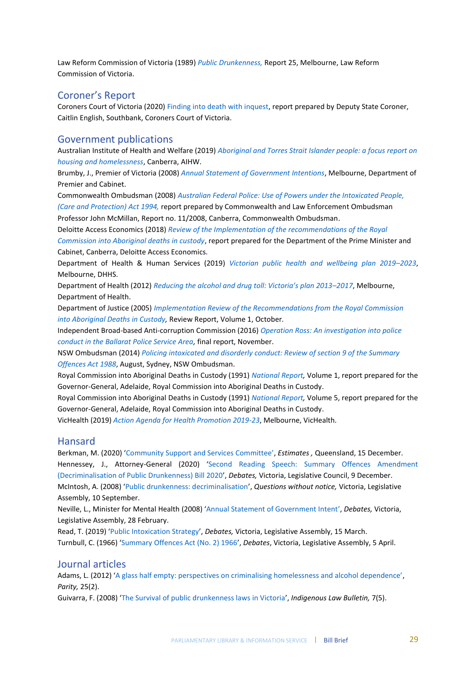Law Reform Commission of Victoria (1989) *[Public Drunkenness,](http://library.parliament.vic.gov.au/mono/PublicDrunkennessReport1989.pdf)* Report 25, Melbourne, Law Reform Commission of Victoria.

### Coroner's Report

Coroners Court of Victoria (2020) [Finding into death with inquest,](https://www.coronerscourt.vic.gov.au/sites/default/files/2020-04/Finding%20-%20Tanya%20Day-%20COR%202017%206424%20-%20AMENDED%2017042020.pdf) report prepared by Deputy State Coroner, Caitlin English, Southbank, Coroners Court of Victoria.

#### Government publications

Australian Institute of Health and Welfare (2019) *[Aboriginal and Torres Strait Islander people: a focus report on](https://www.aihw.gov.au/getmedia/1654e011-dccb-49d4-bf5b-09c4607eecc8/aihw-hou-301.pdf.aspx?inline=true)  [housing and homelessness](https://www.aihw.gov.au/getmedia/1654e011-dccb-49d4-bf5b-09c4607eecc8/aihw-hou-301.pdf.aspx?inline=true)*, Canberra, AIHW.

Brumby, J., Premier of Victoria (2008) *[Annual Statement of Government Intentions](http://library.parliament.vic.gov.au/serial/AnnualStatementGovernmentIntentions2008.pdf)*, Melbourne, Department of Premier and Cabinet.

Commonwealth Ombudsman (2008) *[Australian Federal Police: Use of Powers under the Intoxicated People,](https://www.ombudsman.gov.au/__data/assets/pdf_file/0026/26189/investigation_2008_11.pdf)  [\(Care and Protection\) Act 1994,](https://www.ombudsman.gov.au/__data/assets/pdf_file/0026/26189/investigation_2008_11.pdf)* report prepared by Commonwealth and Law Enforcement Ombudsman Professor John McMillan, Report no. 11/2008, Canberra, Commonwealth Ombudsman.

Deloitte Access Economics (2018) *[Review of the Implementation of the recommendations of the Royal](https://www.niaa.gov.au/resource-centre/indigenous-affairs/review-implementation-royal-commission-aboriginal-deaths-custody)  [Commission into Aboriginal deaths in custody](https://www.niaa.gov.au/resource-centre/indigenous-affairs/review-implementation-royal-commission-aboriginal-deaths-custody)*, report prepared for the Department of the Prime Minister and Cabinet, Canberra, Deloitte Access Economics.

Department of Health & Human Services (2019) *[Victorian public health and wellbeing plan 2019](https://www2.health.vic.gov.au/about/publications/policiesandguidelines/victorian-public-health-wellbeing-plan-2019-2023)–2023*, Melbourne, DHHS.

Department of Health (2012) *[Reducing the alcohol and drug toll: Victoria's plan 2013–](https://www2.health.vic.gov.au/about/publications/researchandreports/Reducing-the-alcohol-and-drug-toll-Victorias-plan-2013-2017---Strategy)2017*, Melbourne, Department of Health.

Department of Justice (2005) *[Implementation Review of the Recommendations from the Royal Commission](http://library.parliament.vic.gov.au/govpub/VPARL2003-06No165Vol1Sections1-5.pdf)  [into Aboriginal Deaths in Custody,](http://library.parliament.vic.gov.au/govpub/VPARL2003-06No165Vol1Sections1-5.pdf)* Review Report, Volume 1, October.

Independent Broad-based Anti-corruption Commission (2016) *[Operation Ross: An investigation into police](https://www.ibac.vic.gov.au/docs/default-source/special-reports/operation-ross-special-report-november-2016.pdf?sfvrsn=74566d75_3)  [conduct in the Ballarat Police Service Area,](https://www.ibac.vic.gov.au/docs/default-source/special-reports/operation-ross-special-report-november-2016.pdf?sfvrsn=74566d75_3)* final report, November.

NSW Ombudsman (2014) *[Policing intoxicated and disorderly conduct: Review of section 9 of the Summary](https://www.ombo.nsw.gov.au/__data/assets/pdf_file/0006/18852/Policing-intoxicated-and-disorderly-conduct-Report-Review-of-section-9-of-the-Summary-Offences-Act-1988_Aug14_web.pdf)  [Offences Act 1988](https://www.ombo.nsw.gov.au/__data/assets/pdf_file/0006/18852/Policing-intoxicated-and-disorderly-conduct-Report-Review-of-section-9-of-the-Summary-Offences-Act-1988_Aug14_web.pdf)*, August, Sydney, NSW Ombudsman.

Royal Commission into Aboriginal Deaths in Custody (1991) *[National Report,](http://www.austlii.edu.au/au/other/IndigLRes/rciadic/national/vol1/index.html)* Volume 1, report prepared for the Governor-General, Adelaide, Royal Commission into Aboriginal Deaths in Custody.

Royal Commission into Aboriginal Deaths in Custody (1991) *[National Report,](http://www.austlii.edu.au/au/other/IndigLRes/rciadic/national/vol5/)* Volume 5, report prepared for the Governor-General, Adelaide, Royal Commission into Aboriginal Deaths in Custody.

VicHealth (2019) *[Action Agenda for Health Promotion 2019-23](https://www.vichealth.vic.gov.au/media-and-resources/publications/vichealth-action-agenda)*, Melbourne, VicHealth.

#### Hansard

Berkman, M. (2020) ['Community Support and Services Committee'](https://www.parliament.qld.gov.au/documents/Hansard/2020/2020_12_15_EstimatesCSC.pdf#search=(public%20DRUNKENNESS)), *Estimates ,* Queensland, 15 December. Hennessey, J., Attorney-General (2020) '[Second Reading Speech: Summary Offences Amendment](https://hansard.parliament.vic.gov.au/?IW_INDEX=Hansard-2018-1&IW_FIELD_TEXT=SpeechIdKey%20CONTAINS%20(09-12-2020_assembly_2012091247)%20AND%20OrderId%20CONTAINS%20(0)&LDMS=Y)  [\(Decriminalisation of Public Drunkenness\) Bill 2020](https://hansard.parliament.vic.gov.au/?IW_INDEX=Hansard-2018-1&IW_FIELD_TEXT=SpeechIdKey%20CONTAINS%20(09-12-2020_assembly_2012091247)%20AND%20OrderId%20CONTAINS%20(0)&LDMS=Y)', *Debates,* Victoria, Legislative Council, 9 December. McIntosh, A. (2008) '[Public drunkenness: decriminalisation](https://hansard.parliament.vic.gov.au/?IW_INDEX=Hansard91-94-NoCommon&IW_FIELD_TEXT=SpeechIdKey%20CONTAINS%20(10September2008-70414-68763)%20AND%20OrderId%20CONTAINS%20(4433000)&LDMS=Y)', *Questions without notice,* Victoria, Legislative Assembly, 10 September.

Neville, L., Minister for Mental Health (2008) '[Annual Statement of Government Intent](http://hansard.parliament.vic.gov.au/?IW_INDEX=Hansard91-94-NoCommon&IW_FIELD_TEXT=SpeechIdKey%20CONTAINS%20(28February2008-63728-27957)%20AND%20OrderId%20CONTAINS%20(4240690)&LDMS=Y)', *Debates,* Victoria, Legislative Assembly, 28 February.

Read, T. (2019) '[Public Intoxication Strategy](http://hansard.parliament.vic.gov.au/?IW_INDEX=Hansard-2018-1&IW_FIELD_TEXT=SpeechIdKey%20CONTAINS%20(5-03-2019_assembly_1903051327)%20AND%20OrderId%20CONTAINS%20(0)&LDMS=Y)', *Debates,* Victoria, Legislative Assembly, 15 March. Turnbull, C. (1966) '[Summary Offences Act \(No. 2\) 1966](https://www.parliament.vic.gov.au/images/stories/historical_hansard/VicHansard_19660329_19660405.pdf)', *Debates*, Victoria, Legislative Assembly, 5 April.

### Journal articles

Adams, L. (2012) ['A glass half empty: perspectives on criminalising homelessness and alcohol dependence'](https://search.informit.org/doi/epdf/10.3316/informit.639193688246303), *Parity,* 25(2).

Guivarra, F. (2008) '[The Survival of public drunkenness laws in Victoria](http://www5.austlii.edu.au/au/journals/IndigLawB/2008/23.html)', *Indigenous Law Bulletin,* 7(5).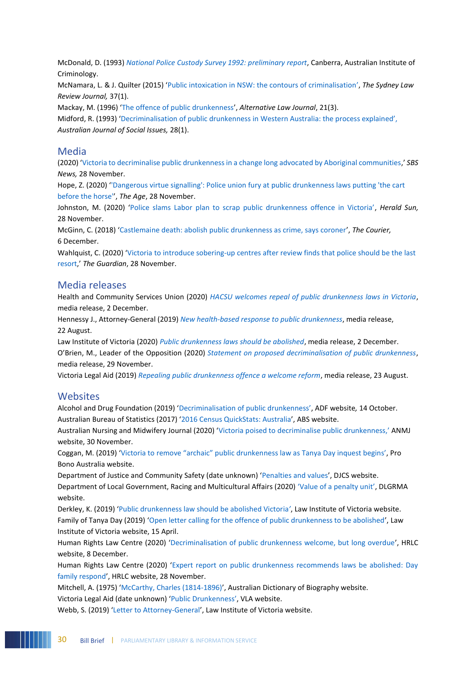McDonald, D. (1993) *[National Police Custody Survey 1992: preliminary report](https://www.aic.gov.au/publications/dic/dic2)*, Canberra, Australian Institute of Criminology.

McNamara, L. & J. Quilter (2015) '[Public intoxication in NSW: the contours of criminalisation](https://scholars.uow.edu.au/display/publication99775)', *The Sydney Law Review Journal,* 37(1).

Mackay, M. (1996) '[The offence of public drunkenness](http://www5.austlii.edu.au/au/journals/AltLawJl/1996/53.pdf)', *Alternative Law Journal*, 21(3).

Midford, R. (1993) ['Decriminalisation of public drunkenness in Western Australia: the process explained',](https://onlinelibrary.wiley.com/doi/abs/10.1002/j.1839-4655.1993.tb00918.x) *Australian Journal of Social Issues,* 28(1).

#### Media

(2020) '[Victoria to decriminalise public drunkenness in a change long advocated by Aboriginal communities](https://www.sbs.com.au/news/victoria-to-decriminalise-public-drunkenness-in-a-change-long-advocated-by-aboriginal-communities),' *SBS News,* 28 November.

Hope, Z. (2020) '['Dangerous virtue signalling': Police union fury at public drunkenness laws putting 'the cart](https://www.theage.com.au/national/victoria/dangerous-virtue-signalling-police-union-fury-at-public-drunkenness-laws-putting-the-cart-before-the-horse-20201128-p56iro.html)  [before the horse'](https://www.theage.com.au/national/victoria/dangerous-virtue-signalling-police-union-fury-at-public-drunkenness-laws-putting-the-cart-before-the-horse-20201128-p56iro.html)', *The Age*, 28 November.

Johnston, M. (2020) ['Police slams Labor plan to scrap public drunkenness offence in Victoria'](https://www.heraldsun.com.au/news/victoria/police-slams-labor-plan-to-scrap-public-drunkenness-offence-in-victoria/news-story/b00b2516237d6ea6a4a782268dc3a666), *Herald Sun,*  28 November.

McGinn, C. (2018) '[Castlemaine death: abolish public drunkenness as crime, says coroner](https://www.thecourier.com.au/story/5797780/public-drunkenness-should-not-be-a-crime-says-coroner-after-castlemaine-death/)', *The Courier,*  6 December.

Wahlquist, C. (2020) 'Victoria to introduce sobering-up centres after review finds that police should be the last [resort](https://www.theguardian.com/australia-news/2020/nov/28/victoria-delays-decriminalising-public-drunkenness-until-2022),' *The Guardian*, 28 November.

#### Media releases

Health and Community Services Union (2020) *[HACSU welcomes repeal of public drunkenness laws in Victoria](https://hacsu.asn.au/HACSU-welcomes-repeal-of-public-drunkenness-laws-in-Victoria~26327)*, media release, 2 December.

Hennessy J., Attorney-General (2019) *[New health-based response to public drunkenness](https://www.premier.vic.gov.au/new-health-based-response-to-public-drunkenness/)*, media release, 22 August.

Law Institute of Victoria (2020) *[Public drunkenness laws should be abolished](https://www.liv.asn.au/Staying-Informed/Media-Releases/Media-Releases/December-2020/Public-drunkenness-laws-should-be-abolished)*, media release, 2 December. O'Brien, M., Leader of the Opposition (2020) *[Statement on proposed decriminalisation of public drunkenness](https://www.michaelobrien.com.au/statement-on-proposed-decriminalisation-of-public-drunkenness/)*, media release, 29 November.

Victoria Legal Aid (2019) *[Repealing public drunkenness offence a welcome reform](https://www.legalaid.vic.gov.au/about-us/news/repealing-public-drunkenness-offence-welcome-reform)*, media release, 23 August.

#### Websites

Alcohol and Drug Foundation (2019) '[Decriminalisation of public drunkenness](https://adf.org.au/insights/decriminalisation-public-drunkenness/)', ADF website*,* 14 October. Australian Bureau of Statistics (2017) '[2016 Census QuickStats: Australia](https://quickstats.censusdata.abs.gov.au/census_services/getproduct/census/2016/quickstat/036)', ABS website.

Australian Nursing and Midwifery Journal (2020) '[Victoria poised to decriminalise public drunkenness](https://anmj.org.au/victoria-poised-to-decriminalise-public-drunkenness/),' ANMJ website, 30 November.

Coggan, M. (2019) ['Victoria to remove "archaic" public drunkenness law as Tanya Day inquest begins'](https://probonoaustralia.com.au/news/2019/08/victoria-to-remove-archaic-public-drunkenness-law-as-tanya-day-inquest-begins/), Pro Bono Australia website.

Department of Justice and Community Safety (date unknown) '[Penalties and values](https://www.justice.vic.gov.au/justice-system/fines-and-penalties/penalties-and-values)', DJCS website. Department of Local Government, Racing and Multicultural Affairs (2020) ['Value of a penalty unit'](https://www.dlgrma.qld.gov.au/local-government/governance/laws2/value-of-a-penalty-unit#:~:text=Current%20value%20of%20the%20penalty,state%20legislation%20will%20be%20%24133.45.), DLGRMA website.

Derkley, K. (2019) '[Public drunkenness law should be abolished Victoria](https://www.liv.asn.au/Staying-Informed/LIJ/LIJ/April-2019/Public-drunkenness-law-should-be-abolished)*'*, Law Institute of Victoria website. Family of Tanya Day (2019) '[Open letter calling for the offence of public drunkenness to be abolished](https://www.liv.asn.au/getattachment/Staying-Informed/LIJ/LIJ/April-2019/Public-drunkenness-law-should-be-abolished/Open-Letter_Repeal-Public-Drunkenness.pdf.aspx)', Law Institute of Victoria website, 15 April.

Human Rights Law Centre (2020) '[Decriminalisation of public drunkenness welcome, but long overdue](https://www.hrlc.org.au/news/2020/12/7/decriminalisation-public-drunkenness-welcome-but-long-overdue)', HRLC website, 8 December.

Human Rights Law Centre (2020) '[Expert report on public drunkenness recommends laws be abolished: Day](https://www.hrlc.org.au/news/2020/11/27/public-drunkenness-laws-to-be-abolished-day-family)  [family respond](https://www.hrlc.org.au/news/2020/11/27/public-drunkenness-laws-to-be-abolished-day-family)', HRLC website, 28 November.

Mitchell, A. (1975) '[McCarthy, Charles \(1814-1896\)](https://adb.anu.edu.au/biography/mccarthy-charles-4066)', Australian Dictionary of Biography website.

Victoria Legal Aid (date unknown) '[Public Drunkenness](https://www.legalaid.vic.gov.au/find-legal-answers/criminal-offences/public-drunkenness)', VLA website.

Webb, S. (2019) '[Letter to Attorney-General](https://www.liv.asn.au/getattachment/Staying-Informed/LIJ/LIJ/April-2019/Public-drunkenness-law-should-be-abolished/20190410_LET_PRES_OffenceofPublicDrunkenness-(1).pdf.aspx)', Law Institute of Victoria website.